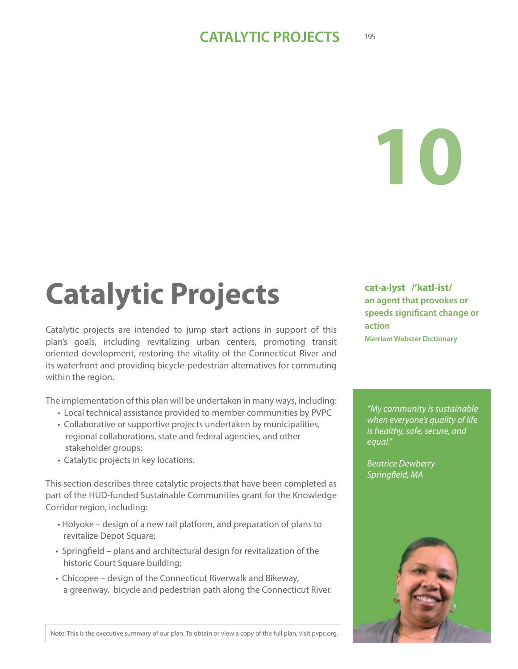# **10**

# Catalytic Projects **Catalyst /'katl-ist/**

Catalytic projects are intended to jump start actions in support of this plan's goals, including revitalizing urban centers, promoting transit oriented development, restoring the vitality of the Connecticut River and its waterfront and providing bicycle-pedestrian alternatives for commuting within the region.

The implementation of this plan will be undertaken in many ways, including:

- Local technical assistance provided to member communities by PVPC
- Collaborative or supportive projects undertaken by municipalities, regional collaborations, state and federal agencies, and other stakeholder groups;
- Catalytic projects in key locations.

This section describes three catalytic projects that have been completed as part of the HUD-funded Sustainable Communities grant for the Knowledge Corridor region, including:

- Holyoke design of a new rail platform, and preparation of plans to revitalize Depot Square;
- Springfield plans and architectural design for revitalization of the historic Court Square building;
- Chicopee design of the Connecticut Riverwalk and Bikeway, a greenway, bicycle and pedestrian path along the Connecticut River.

**an agent that provokes or speeds significant change or action Merriam Webster Dictionary**

*"My community is sustainable when everyone's quality of life is healthy, safe, secure, and equal."*

*Beatrice Dewberry Springfield, MA*



Note: This is the executive summary of our plan. To obtain or view a copy of the full plan, visit pvpc.org.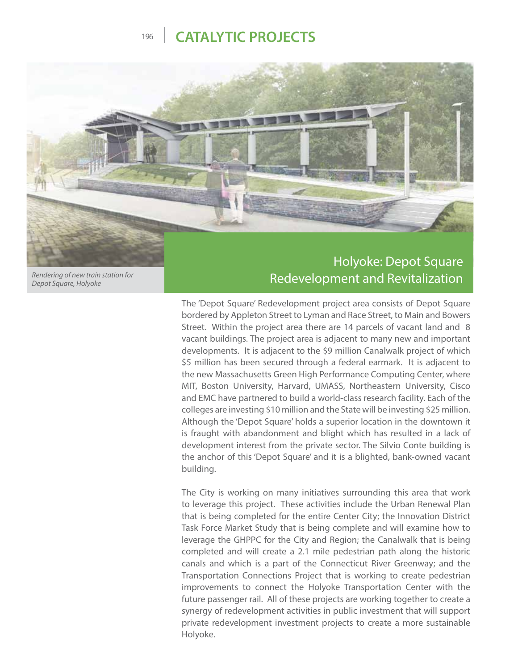

*Rendering of new train station for Depot Square, Holyoke*

# Redevelopment and Revitalization

The 'Depot Square' Redevelopment project area consists of Depot Square bordered by Appleton Street to Lyman and Race Street, to Main and Bowers Street. Within the project area there are 14 parcels of vacant land and 8 vacant buildings. The project area is adjacent to many new and important developments. It is adjacent to the \$9 million Canalwalk project of which \$5 million has been secured through a federal earmark. It is adjacent to the new Massachusetts Green High Performance Computing Center, where MIT, Boston University, Harvard, UMASS, Northeastern University, Cisco and EMC have partnered to build a world-class research facility. Each of the colleges are investing \$10 million and the State will be investing \$25 million. Although the 'Depot Square' holds a superior location in the downtown it is fraught with abandonment and blight which has resulted in a lack of development interest from the private sector. The Silvio Conte building is the anchor of this 'Depot Square' and it is a blighted, bank-owned vacant building.

The City is working on many initiatives surrounding this area that work to leverage this project. These activities include the Urban Renewal Plan that is being completed for the entire Center City; the Innovation District Task Force Market Study that is being complete and will examine how to leverage the GHPPC for the City and Region; the Canalwalk that is being completed and will create a 2.1 mile pedestrian path along the historic canals and which is a part of the Connecticut River Greenway; and the Transportation Connections Project that is working to create pedestrian improvements to connect the Holyoke Transportation Center with the future passenger rail. All of these projects are working together to create a synergy of redevelopment activities in public investment that will support private redevelopment investment projects to create a more sustainable Holyoke.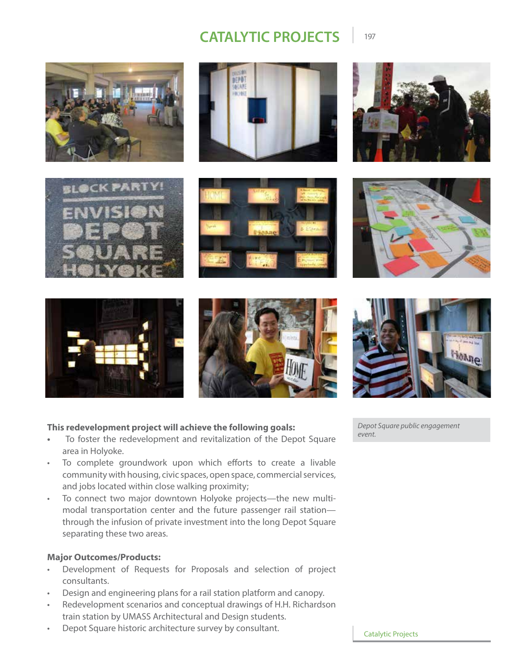DEPOT **GEARE** 















#### **This redevelopment project will achieve the following goals:**

- **•** To foster the redevelopment and revitalization of the Depot Square area in Holyoke.
- To complete groundwork upon which efforts to create a livable community with housing, civic spaces, open space, commercial services, and jobs located within close walking proximity;
- To connect two major downtown Holyoke projects—the new multimodal transportation center and the future passenger rail station through the infusion of private investment into the long Depot Square separating these two areas.

#### **Major Outcomes/Products:**

- Development of Requests for Proposals and selection of project consultants.
- Design and engineering plans for a rail station platform and canopy.
- Redevelopment scenarios and conceptual drawings of H.H. Richardson train station by UMASS Architectural and Design students.
- Depot Square historic architecture survey by consultant.

*Depot Square public engagement event.*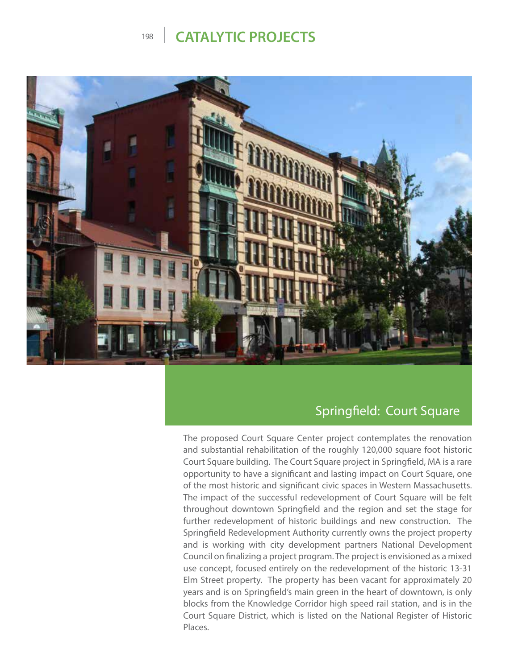

#### Springfield: Court Square

The proposed Court Square Center project contemplates the renovation and substantial rehabilitation of the roughly 120,000 square foot historic Court Square building. The Court Square project in Springfield, MA is a rare opportunity to have a significant and lasting impact on Court Square, one of the most historic and significant civic spaces in Western Massachusetts. The impact of the successful redevelopment of Court Square will be felt throughout downtown Springfield and the region and set the stage for further redevelopment of historic buildings and new construction. The Springfield Redevelopment Authority currently owns the project property and is working with city development partners National Development Council on finalizing a project program. The project is envisioned as a mixed use concept, focused entirely on the redevelopment of the historic 13-31 Elm Street property. The property has been vacant for approximately 20 years and is on Springfield's main green in the heart of downtown, is only blocks from the Knowledge Corridor high speed rail station, and is in the Court Square District, which is listed on the National Register of Historic Places.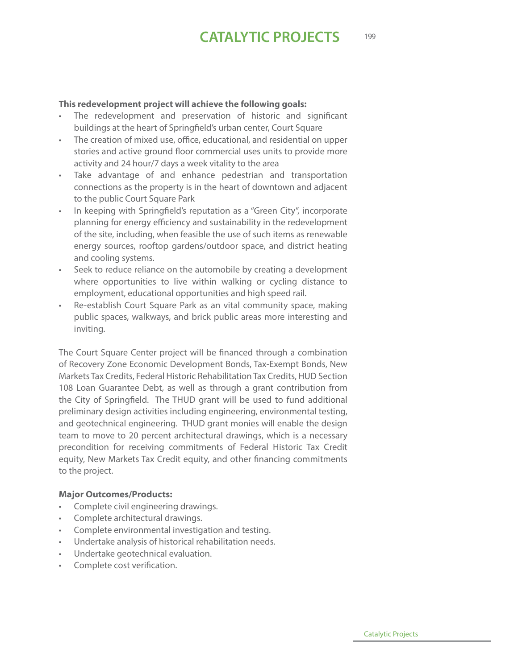#### **This redevelopment project will achieve the following goals:**

- The redevelopment and preservation of historic and significant buildings at the heart of Springfield's urban center, Court Square
- The creation of mixed use, office, educational, and residential on upper stories and active ground floor commercial uses units to provide more activity and 24 hour/7 days a week vitality to the area
- Take advantage of and enhance pedestrian and transportation connections as the property is in the heart of downtown and adjacent to the public Court Square Park
- In keeping with Springfield's reputation as a "Green City", incorporate planning for energy efficiency and sustainability in the redevelopment of the site, including, when feasible the use of such items as renewable energy sources, rooftop gardens/outdoor space, and district heating and cooling systems.
- Seek to reduce reliance on the automobile by creating a development where opportunities to live within walking or cycling distance to employment, educational opportunities and high speed rail.
- Re-establish Court Square Park as an vital community space, making public spaces, walkways, and brick public areas more interesting and inviting.

The Court Square Center project will be financed through a combination of Recovery Zone Economic Development Bonds, Tax-Exempt Bonds, New Markets Tax Credits, Federal Historic Rehabilitation Tax Credits, HUD Section 108 Loan Guarantee Debt, as well as through a grant contribution from the City of Springfield. The THUD grant will be used to fund additional preliminary design activities including engineering, environmental testing, and geotechnical engineering. THUD grant monies will enable the design team to move to 20 percent architectural drawings, which is a necessary precondition for receiving commitments of Federal Historic Tax Credit equity, New Markets Tax Credit equity, and other financing commitments to the project.

#### **Major Outcomes/Products:**

- Complete civil engineering drawings.
- Complete architectural drawings.
- Complete environmental investigation and testing.
- Undertake analysis of historical rehabilitation needs.
- Undertake geotechnical evaluation.
- Complete cost verification.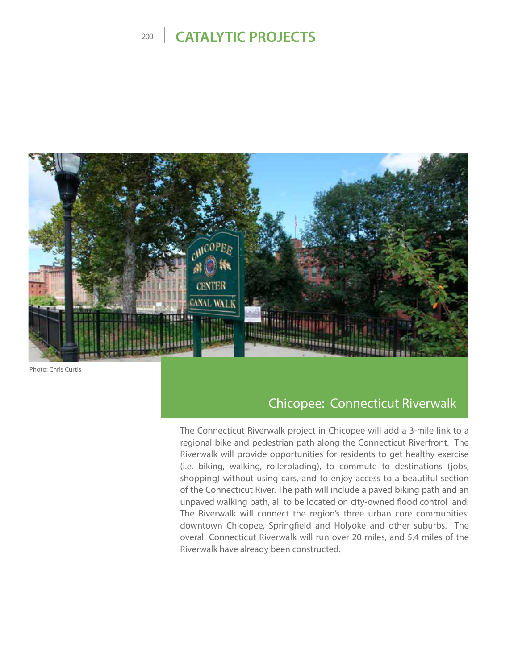

Photo: Chris Curtis

#### Chicopee: Connecticut Riverwalk

The Connecticut Riverwalk project in Chicopee will add a 3-mile link to a regional bike and pedestrian path along the Connecticut Riverfront. The Riverwalk will provide opportunities for residents to get healthy exercise (i.e. biking, walking, rollerblading), to commute to destinations (jobs, shopping) without using cars, and to enjoy access to a beautiful section of the Connecticut River. The path will include a paved biking path and an unpaved walking path, all to be located on city-owned flood control land. The Riverwalk will connect the region's three urban core communities: downtown Chicopee, Springfield and Holyoke and other suburbs. The overall Connecticut Riverwalk will run over 20 miles, and 5.4 miles of the Riverwalk have already been constructed.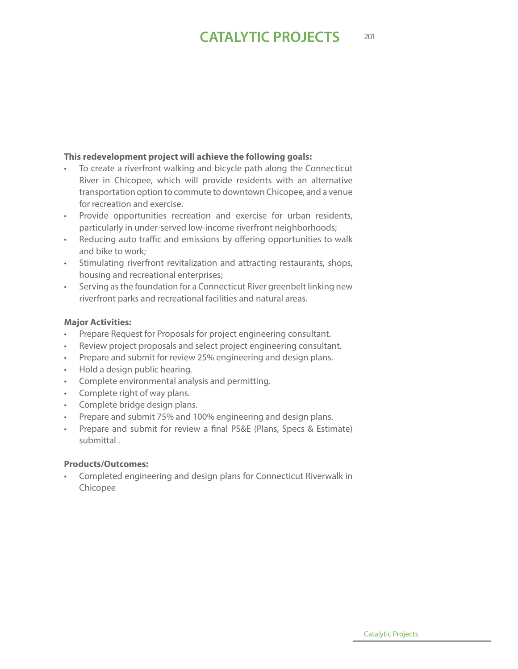#### **This redevelopment project will achieve the following goals:**

- To create a riverfront walking and bicycle path along the Connecticut River in Chicopee, which will provide residents with an alternative transportation option to commute to downtown Chicopee, and a venue for recreation and exercise.
- Provide opportunities recreation and exercise for urban residents, particularly in under-served low-income riverfront neighborhoods;
- Reducing auto traffic and emissions by offering opportunities to walk and bike to work;
- Stimulating riverfront revitalization and attracting restaurants, shops, housing and recreational enterprises;
- Serving as the foundation for a Connecticut River greenbelt linking new riverfront parks and recreational facilities and natural areas.

#### **Major Activities:**

- Prepare Request for Proposals for project engineering consultant.
- Review project proposals and select project engineering consultant.
- Prepare and submit for review 25% engineering and design plans.
- Hold a design public hearing.
- Complete environmental analysis and permitting.
- Complete right of way plans.
- Complete bridge design plans.
- Prepare and submit 75% and 100% engineering and design plans.
- Prepare and submit for review a final PS&E (Plans, Specs & Estimate) submittal .

#### **Products/Outcomes:**

• Completed engineering and design plans for Connecticut Riverwalk in Chicopee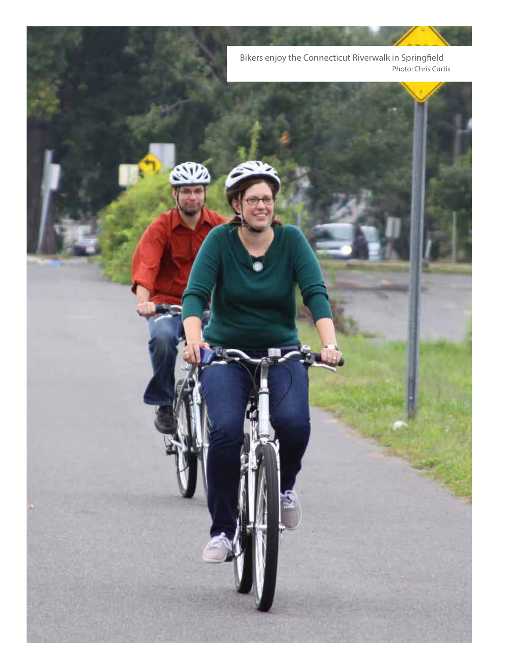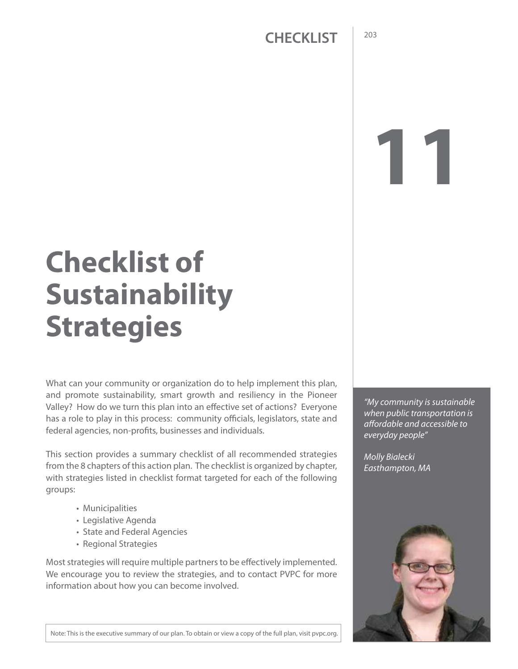# **11**

# **Checklist of Sustainability Strategies**

What can your community or organization do to help implement this plan, and promote sustainability, smart growth and resiliency in the Pioneer Valley? How do we turn this plan into an effective set of actions? Everyone has a role to play in this process: community officials, legislators, state and federal agencies, non-profits, businesses and individuals.

This section provides a summary checklist of all recommended strategies from the 8 chapters of this action plan. The checklist is organized by chapter, with strategies listed in checklist format targeted for each of the following groups:

- Municipalities
- Legislative Agenda
- State and Federal Agencies
- Regional Strategies

Most strategies will require multiple partners to be effectively implemented. We encourage you to review the strategies, and to contact PVPC for more information about how you can become involved.

*"My community is sustainable when public transportation is affordable and accessible to everyday people"*

*Molly Bialecki Easthampton, MA*



Note: This is the executive summary of our plan. To obtain or view a copy of the full plan, visit pvpc.org.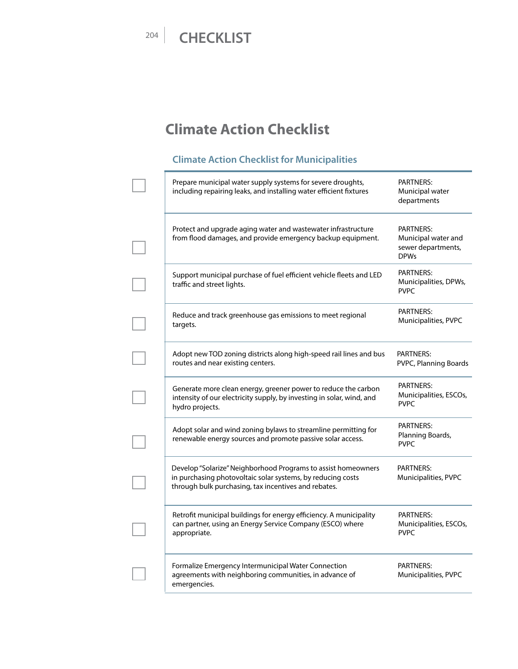# **Climate Action Checklist**

#### **Climate Action Checklist for Municipalities**

| Prepare municipal water supply systems for severe droughts,<br>including repairing leaks, and installing water efficient fixtures                                                    | <b>PARTNERS:</b><br>Municipal water<br>departments                           |
|--------------------------------------------------------------------------------------------------------------------------------------------------------------------------------------|------------------------------------------------------------------------------|
| Protect and upgrade aging water and wastewater infrastructure<br>from flood damages, and provide emergency backup equipment.                                                         | <b>PARTNERS:</b><br>Municipal water and<br>sewer departments,<br><b>DPWs</b> |
| Support municipal purchase of fuel efficient vehicle fleets and LED<br>traffic and street lights.                                                                                    | <b>PARTNERS:</b><br>Municipalities, DPWs,<br><b>PVPC</b>                     |
| Reduce and track greenhouse gas emissions to meet regional<br>targets.                                                                                                               | PARTNERS:<br>Municipalities, PVPC                                            |
| Adopt new TOD zoning districts along high-speed rail lines and bus<br>routes and near existing centers.                                                                              | <b>PARTNERS:</b><br>PVPC, Planning Boards                                    |
| Generate more clean energy, greener power to reduce the carbon<br>intensity of our electricity supply, by investing in solar, wind, and<br>hydro projects.                           | <b>PARTNERS:</b><br>Municipalities, ESCOs,<br><b>PVPC</b>                    |
| Adopt solar and wind zoning bylaws to streamline permitting for<br>renewable energy sources and promote passive solar access.                                                        | PARTNERS:<br>Planning Boards,<br><b>PVPC</b>                                 |
| Develop "Solarize" Neighborhood Programs to assist homeowners<br>in purchasing photovoltaic solar systems, by reducing costs<br>through bulk purchasing, tax incentives and rebates. | <b>PARTNERS:</b><br>Municipalities, PVPC                                     |
| Retrofit municipal buildings for energy efficiency. A municipality<br>can partner, using an Energy Service Company (ESCO) where<br>appropriate.                                      | <b>PARTNERS:</b><br>Municipalities, ESCOs,<br><b>PVPC</b>                    |
| Formalize Emergency Intermunicipal Water Connection<br>agreements with neighboring communities, in advance of<br>emergencies.                                                        | <b>PARTNERS:</b><br>Municipalities, PVPC                                     |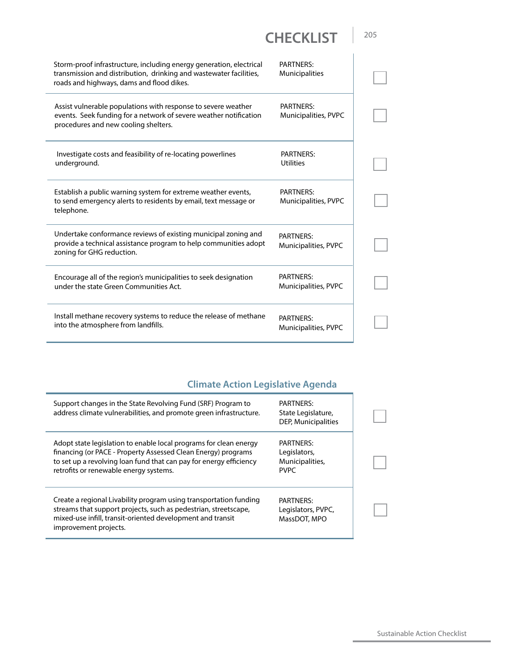| Storm-proof infrastructure, including energy generation, electrical<br>transmission and distribution, drinking and wastewater facilities,<br>roads and highways, dams and flood dikes. | PARTNERS:<br><b>Municipalities</b>       |
|----------------------------------------------------------------------------------------------------------------------------------------------------------------------------------------|------------------------------------------|
| Assist vulnerable populations with response to severe weather<br>events. Seek funding for a network of severe weather notification<br>procedures and new cooling shelters.             | PARTNERS:<br>Municipalities, PVPC        |
| Investigate costs and feasibility of re-locating powerlines<br>underground.                                                                                                            | <b>PARTNERS:</b><br><b>Utilities</b>     |
| Establish a public warning system for extreme weather events,<br>to send emergency alerts to residents by email, text message or<br>telephone.                                         | <b>PARTNERS:</b><br>Municipalities, PVPC |
| Undertake conformance reviews of existing municipal zoning and<br>provide a technical assistance program to help communities adopt<br>zoning for GHG reduction.                        | <b>PARTNERS:</b><br>Municipalities, PVPC |
| Encourage all of the region's municipalities to seek designation<br>under the state Green Communities Act.                                                                             | <b>PARTNERS:</b><br>Municipalities, PVPC |
| Install methane recovery systems to reduce the release of methane<br>into the atmosphere from landfills.                                                                               | <b>PARTNERS:</b><br>Municipalities, PVPC |

#### **Climate Action Legislative Agenda**

| Support changes in the State Revolving Fund (SRF) Program to<br>address climate vulnerabilities, and promote green infrastructure.                                                                                                                 | <b>PARTNERS:</b><br>State Legislature,<br>DEP, Municipalities      |  |
|----------------------------------------------------------------------------------------------------------------------------------------------------------------------------------------------------------------------------------------------------|--------------------------------------------------------------------|--|
| Adopt state legislation to enable local programs for clean energy<br>financing (or PACE - Property Assessed Clean Energy) programs<br>to set up a revolving loan fund that can pay for energy efficiency<br>retrofits or renewable energy systems. | <b>PARTNERS:</b><br>Legislators,<br>Municipalities,<br><b>PVPC</b> |  |
| Create a regional Livability program using transportation funding<br>streams that support projects, such as pedestrian, streetscape,<br>mixed-use infill, transit-oriented development and transit<br>improvement projects.                        | <b>PARTNERS:</b><br>Legislators, PVPC,<br>MassDOT, MPO             |  |

Sustainable Action Checklist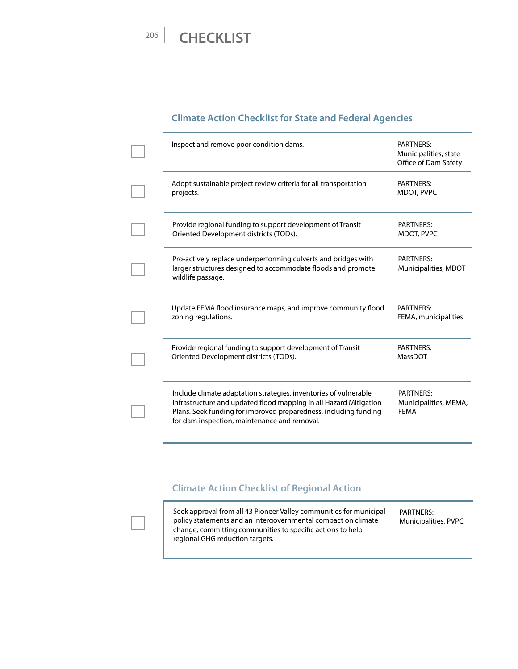#### **Climate Action Checklist for State and Federal Agencies**

| Inspect and remove poor condition dams.                                                                                                                                                                                                                   | PARTNERS:<br>Municipalities, state<br>Office of Dam Safety |
|-----------------------------------------------------------------------------------------------------------------------------------------------------------------------------------------------------------------------------------------------------------|------------------------------------------------------------|
| Adopt sustainable project review criteria for all transportation<br>projects.                                                                                                                                                                             | <b>PARTNERS:</b><br>MDOT, PVPC                             |
| Provide regional funding to support development of Transit<br>Oriented Development districts (TODs).                                                                                                                                                      | <b>PARTNERS:</b><br>MDOT, PVPC                             |
| Pro-actively replace underperforming culverts and bridges with<br>larger structures designed to accommodate floods and promote<br>wildlife passage.                                                                                                       | <b>PARTNERS:</b><br>Municipalities, MDOT                   |
| Update FEMA flood insurance maps, and improve community flood<br>zoning regulations.                                                                                                                                                                      | <b>PARTNERS:</b><br>FEMA, municipalities                   |
| Provide regional funding to support development of Transit<br>Oriented Development districts (TODs).                                                                                                                                                      | <b>PARTNERS:</b><br>MassDOT                                |
| Include climate adaptation strategies, inventories of vulnerable<br>infrastructure and updated flood mapping in all Hazard Mitigation<br>Plans. Seek funding for improved preparedness, including funding<br>for dam inspection, maintenance and removal. | <b>PARTNERS:</b><br>Municipalities, MEMA,<br><b>FEMA</b>   |

#### **Climate Action Checklist of Regional Action**

Seek approval from all 43 Pioneer Valley communities for municipal policy statements and an intergovernmental compact on climate change, committing communities to specific actions to help regional GHG reduction targets. PARTNERS: Municipalities, PVPC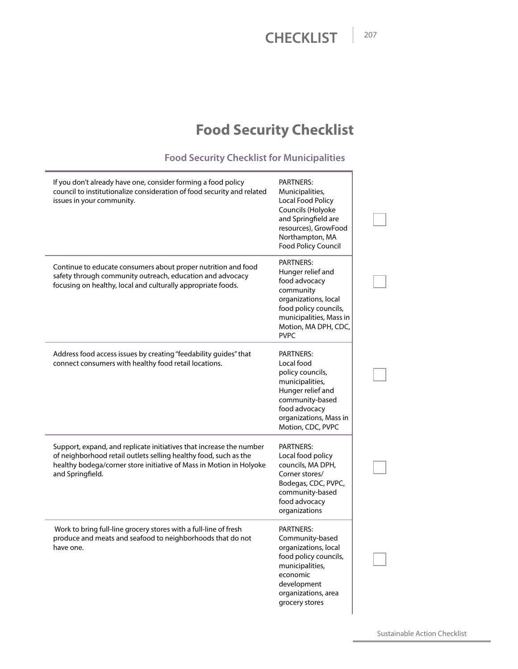# **Food Security Checklist**

#### **Food Security Checklist for Municipalities**

| If you don't already have one, consider forming a food policy<br>council to institutionalize consideration of food security and related<br>issues in your community.                                                               | PARTNERS:<br>Municipalities,<br>Local Food Policy<br>Councils (Holyoke<br>and Springfield are<br>resources), GrowFood<br>Northampton, MA<br>Food Policy Council                        |  |
|------------------------------------------------------------------------------------------------------------------------------------------------------------------------------------------------------------------------------------|----------------------------------------------------------------------------------------------------------------------------------------------------------------------------------------|--|
| Continue to educate consumers about proper nutrition and food<br>safety through community outreach, education and advocacy<br>focusing on healthy, local and culturally appropriate foods.                                         | <b>PARTNERS:</b><br>Hunger relief and<br>food advocacy<br>community<br>organizations, local<br>food policy councils,<br>municipalities, Mass in<br>Motion, MA DPH, CDC,<br><b>PVPC</b> |  |
| Address food access issues by creating "feedability guides" that<br>connect consumers with healthy food retail locations.                                                                                                          | <b>PARTNERS:</b><br>Local food<br>policy councils,<br>municipalities,<br>Hunger relief and<br>community-based<br>food advocacy<br>organizations, Mass in<br>Motion, CDC, PVPC          |  |
| Support, expand, and replicate initiatives that increase the number<br>of neighborhood retail outlets selling healthy food, such as the<br>healthy bodega/corner store initiative of Mass in Motion in Holyoke<br>and Springfield. | PARTNERS:<br>Local food policy<br>councils, MA DPH,<br>Corner stores/<br>Bodegas, CDC, PVPC,<br>community-based<br>food advocacy<br>organizations                                      |  |
| Work to bring full-line grocery stores with a full-line of fresh<br>produce and meats and seafood to neighborhoods that do not<br>have one.                                                                                        | <b>PARTNERS:</b><br>Community-based<br>organizations, local<br>food policy councils,<br>municipalities,<br>economic<br>development<br>organizations, area<br>grocery stores            |  |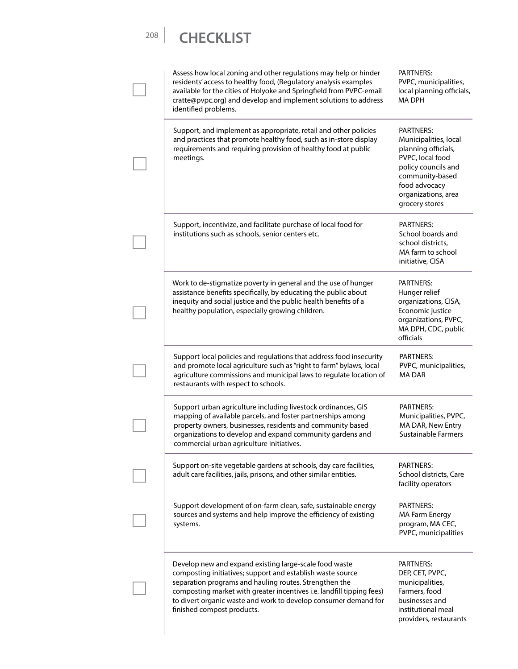Assess how local zoning and other regulations may help or hinder residents' access to healthy food, (Regulatory analysis examples available for the cities of Holyoke and Springfield from PVPC-email cratte@pvpc.org) and develop and implement solutions to address identified problems. PARTNERS: PVPC, municipalities, local planning officials, MA DPH Support, and implement as appropriate, retail and other policies and practices that promote healthy food, such as in-store display requirements and requiring provision of healthy food at public meetings. PARTNERS: Municipalities, local planning officials, PVPC, local food policy councils and community-based food advocacy organizations, area grocery stores Support, incentivize, and facilitate purchase of local food for institutions such as schools, senior centers etc. PARTNERS: School boards and school districts, MA farm to school initiative, CISA Work to de-stigmatize poverty in general and the use of hunger assistance benefits specifically, by educating the public about inequity and social justice and the public health benefits of a healthy population, especially growing children. PARTNERS: Hunger relief organizations, CISA, Economic justice organizations, PVPC, MA DPH, CDC, public officials Support local policies and regulations that address food insecurity and promote local agriculture such as "right to farm" bylaws, local agriculture commissions and municipal laws to regulate location of restaurants with respect to schools. PARTNERS: PVPC, municipalities, MA DAR Support urban agriculture including livestock ordinances, GIS mapping of available parcels, and foster partnerships among property owners, businesses, residents and community based organizations to develop and expand community gardens and commercial urban agriculture initiatives. PARTNERS: Municipalities, PVPC, MA DAR, New Entry Sustainable Farmers Support on-site vegetable gardens at schools, day care facilities, adult care facilities, jails, prisons, and other similar entities. PARTNERS: School districts, Care facility operators Support development of on-farm clean, safe, sustainable energy sources and systems and help improve the efficiency of existing systems. PARTNERS: MA Farm Energy program, MA CEC, PVPC, municipalities Develop new and expand existing large-scale food waste composting initiatives; support and establish waste source separation programs and hauling routes. Strengthen the composting market with greater incentives i.e. landfill tipping fees) to divert organic waste and work to develop consumer demand for finished compost products. PARTNERS: DEP, CET, PVPC, municipalities, Farmers, food businesses and institutional meal providers, restaurants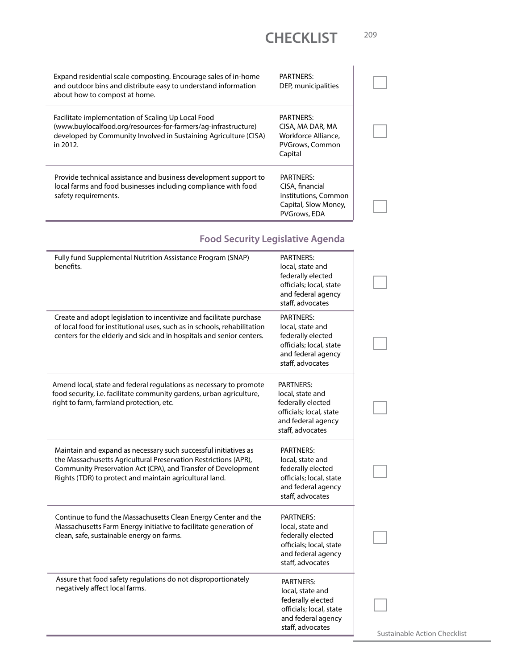Expand residential scale composting. Encourage sales of in-home and outdoor bins and distribute easy to understand information about how to compost at home. PARTNERS: DEP, municipalities Facilitate implementation of Scaling Up Local Food (www.buylocalfood.org/resources-for-farmers/ag-infrastructure) developed by Community Involved in Sustaining Agriculture (CISA) in 2012. PARTNERS: CISA, MA DAR, MA Workforce Alliance, PVGrows, Common Capital Provide technical assistance and business development support to local farms and food businesses including compliance with food safety requirements. PARTNERS: CISA, financial institutions, Common Capital, Slow Money, PVGrows, EDA

#### **Food Security Legislative Agenda**

| Fully fund Supplemental Nutrition Assistance Program (SNAP)<br>benefits.                                                                                                                                                                                       | <b>PARTNERS:</b><br>local, state and<br>federally elected<br>officials; local, state<br>and federal agency<br>staff, advocates |  |
|----------------------------------------------------------------------------------------------------------------------------------------------------------------------------------------------------------------------------------------------------------------|--------------------------------------------------------------------------------------------------------------------------------|--|
| Create and adopt legislation to incentivize and facilitate purchase<br>of local food for institutional uses, such as in schools, rehabilitation<br>centers for the elderly and sick and in hospitals and senior centers.                                       | <b>PARTNERS:</b><br>local, state and<br>federally elected<br>officials; local, state<br>and federal agency<br>staff, advocates |  |
| Amend local, state and federal regulations as necessary to promote<br>food security, i.e. facilitate community gardens, urban agriculture,<br>right to farm, farmland protection, etc.                                                                         | <b>PARTNERS:</b><br>local, state and<br>federally elected<br>officials; local, state<br>and federal agency<br>staff, advocates |  |
| Maintain and expand as necessary such successful initiatives as<br>the Massachusetts Agricultural Preservation Restrictions (APR),<br>Community Preservation Act (CPA), and Transfer of Development<br>Rights (TDR) to protect and maintain agricultural land. | <b>PARTNERS:</b><br>local, state and<br>federally elected<br>officials; local, state<br>and federal agency<br>staff, advocates |  |
| Continue to fund the Massachusetts Clean Energy Center and the<br>Massachusetts Farm Energy initiative to facilitate generation of<br>clean, safe, sustainable energy on farms.                                                                                | <b>PARTNERS:</b><br>local, state and<br>federally elected<br>officials; local, state<br>and federal agency<br>staff, advocates |  |
| Assure that food safety regulations do not disproportionately<br>negatively affect local farms.                                                                                                                                                                | <b>PARTNERS:</b><br>local, state and<br>federally elected<br>officials; local, state<br>and federal agency<br>staff, advocates |  |

Sustainable Action Checklist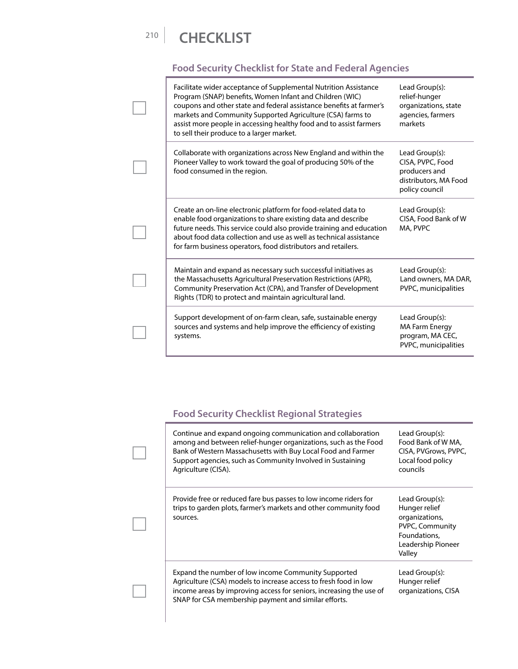#### **Food Security Checklist for State and Federal Agencies**

| Facilitate wider acceptance of Supplemental Nutrition Assistance<br>Program (SNAP) benefits, Women Infant and Children (WIC)<br>coupons and other state and federal assistance benefits at farmer's<br>markets and Community Supported Agriculture (CSA) farms to<br>assist more people in accessing healthy food and to assist farmers<br>to sell their produce to a larger market. | Lead Group(s):<br>relief-hunger<br>organizations, state<br>agencies, farmers<br>markets        |
|--------------------------------------------------------------------------------------------------------------------------------------------------------------------------------------------------------------------------------------------------------------------------------------------------------------------------------------------------------------------------------------|------------------------------------------------------------------------------------------------|
| Collaborate with organizations across New England and within the<br>Pioneer Valley to work toward the goal of producing 50% of the<br>food consumed in the region.                                                                                                                                                                                                                   | Lead Group(s):<br>CISA, PVPC, Food<br>producers and<br>distributors, MA Food<br>policy council |
| Create an on-line electronic platform for food-related data to<br>enable food organizations to share existing data and describe<br>future needs. This service could also provide training and education<br>about food data collection and use as well as technical assistance<br>for farm business operators, food distributors and retailers.                                       | Lead Group(s):<br>CISA, Food Bank of W<br>MA, PVPC                                             |
| Maintain and expand as necessary such successful initiatives as<br>the Massachusetts Agricultural Preservation Restrictions (APR),<br>Community Preservation Act (CPA), and Transfer of Development<br>Rights (TDR) to protect and maintain agricultural land.                                                                                                                       | Lead Group(s):<br>Land owners, MA DAR,<br>PVPC, municipalities                                 |
| Support development of on-farm clean, safe, sustainable energy<br>sources and systems and help improve the efficiency of existing<br>systems.                                                                                                                                                                                                                                        | Lead Group(s):<br><b>MA Farm Energy</b><br>program, MA CEC,<br>PVPC, municipalities            |

#### **Food Security Checklist Regional Strategies**

|  | Continue and expand ongoing communication and collaboration<br>among and between relief-hunger organizations, such as the Food<br>Bank of Western Massachusetts with Buy Local Food and Farmer<br>Support agencies, such as Community Involved in Sustaining<br>Agriculture (CISA). | Lead Group(s):<br>Food Bank of W MA,<br>CISA, PVGrows, PVPC,<br>Local food policy<br>councils                        |
|--|-------------------------------------------------------------------------------------------------------------------------------------------------------------------------------------------------------------------------------------------------------------------------------------|----------------------------------------------------------------------------------------------------------------------|
|  | Provide free or reduced fare bus passes to low income riders for<br>trips to garden plots, farmer's markets and other community food<br>sources.                                                                                                                                    | Lead Group(s):<br>Hunger relief<br>organizations,<br>PVPC, Community<br>Foundations,<br>Leadership Pioneer<br>Valley |
|  | Expand the number of low income Community Supported<br>Agriculture (CSA) models to increase access to fresh food in low<br>income areas by improving access for seniors, increasing the use of<br>SNAP for CSA membership payment and similar efforts.                              | Lead Group(s):<br>Hunger relief<br>organizations, CISA                                                               |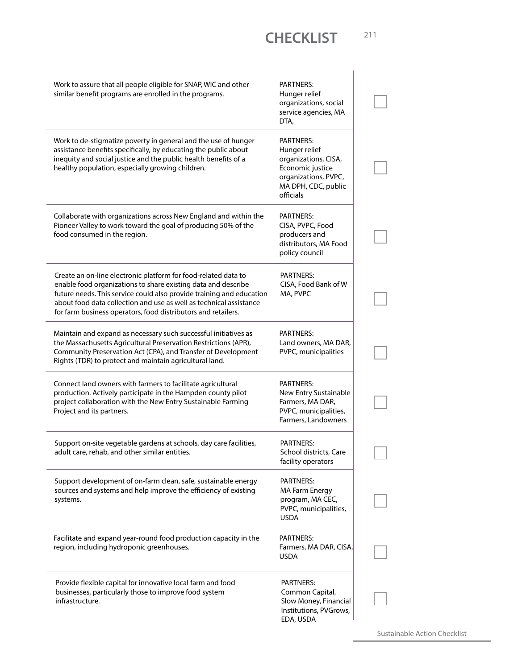| Work to assure that all people eligible for SNAP, WIC and other<br>similar benefit programs are enrolled in the programs.                                                                                                                                                                                                                      | <b>PARTNERS:</b><br>Hunger relief<br>organizations, social<br>service agencies, MA<br>DTA,                                                |  |
|------------------------------------------------------------------------------------------------------------------------------------------------------------------------------------------------------------------------------------------------------------------------------------------------------------------------------------------------|-------------------------------------------------------------------------------------------------------------------------------------------|--|
| Work to de-stigmatize poverty in general and the use of hunger<br>assistance benefits specifically, by educating the public about<br>inequity and social justice and the public health benefits of a<br>healthy population, especially growing children.                                                                                       | <b>PARTNERS:</b><br>Hunger relief<br>organizations, CISA,<br>Economic justice<br>organizations, PVPC,<br>MA DPH, CDC, public<br>officials |  |
| Collaborate with organizations across New England and within the<br>Pioneer Valley to work toward the goal of producing 50% of the<br>food consumed in the region.                                                                                                                                                                             | PARTNERS:<br>CISA, PVPC, Food<br>producers and<br>distributors, MA Food<br>policy council                                                 |  |
| Create an on-line electronic platform for food-related data to<br>enable food organizations to share existing data and describe<br>future needs. This service could also provide training and education<br>about food data collection and use as well as technical assistance<br>for farm business operators, food distributors and retailers. | <b>PARTNERS:</b><br>CISA, Food Bank of W<br>MA, PVPC                                                                                      |  |
| Maintain and expand as necessary such successful initiatives as<br>the Massachusetts Agricultural Preservation Restrictions (APR),<br>Community Preservation Act (CPA), and Transfer of Development<br>Rights (TDR) to protect and maintain agricultural land.                                                                                 | <b>PARTNERS:</b><br>Land owners, MA DAR,<br>PVPC, municipalities                                                                          |  |
| Connect land owners with farmers to facilitate agricultural<br>production. Actively participate in the Hampden county pilot<br>project collaboration with the New Entry Sustainable Farming<br>Project and its partners.                                                                                                                       | PARTNERS:<br>New Entry Sustainable<br>Farmers, MA DAR,<br>PVPC, municipalities,<br>Farmers, Landowners                                    |  |
| Support on-site vegetable gardens at schools, day care facilities,<br>adult care, rehab, and other similar entities.                                                                                                                                                                                                                           | PARTNERS:<br>School districts, Care<br>facility operators                                                                                 |  |
| Support development of on-farm clean, safe, sustainable energy<br>sources and systems and help improve the efficiency of existing<br>systems.                                                                                                                                                                                                  | <b>PARTNERS:</b><br><b>MA Farm Energy</b><br>program, MA CEC,<br>PVPC, municipalities,<br><b>USDA</b>                                     |  |
| Facilitate and expand year-round food production capacity in the<br>region, including hydroponic greenhouses.                                                                                                                                                                                                                                  | PARTNERS:<br>Farmers, MA DAR, CISA,<br><b>USDA</b>                                                                                        |  |
| Provide flexible capital for innovative local farm and food<br>businesses, particularly those to improve food system<br>infrastructure.                                                                                                                                                                                                        | PARTNERS:<br>Common Capital,<br>Slow Money, Financial<br>Institutions, PVGrows,<br>EDA, USDA                                              |  |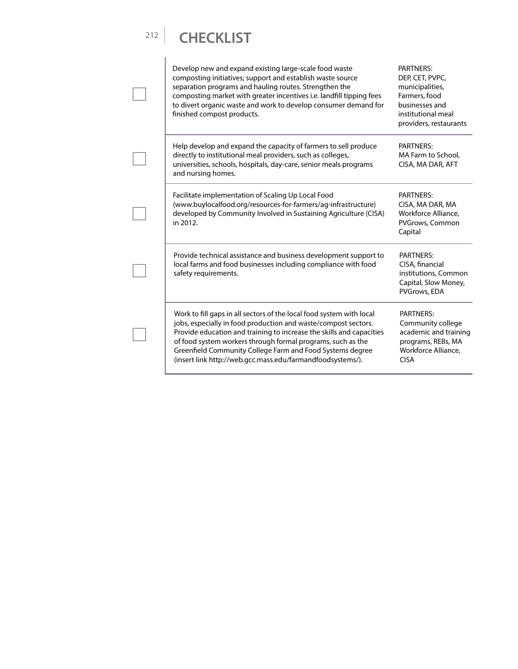| Develop new and expand existing large-scale food waste<br>composting initiatives; support and establish waste source<br>separation programs and hauling routes. Strengthen the<br>composting market with greater incentives i.e. landfill tipping fees<br>to divert organic waste and work to develop consumer demand for<br>finished compost products.                                                  | <b>PARTNERS:</b><br>DEP, CET, PVPC,<br>municipalities,<br>Farmers, food<br>businesses and<br>institutional meal<br>providers, restaurants |
|----------------------------------------------------------------------------------------------------------------------------------------------------------------------------------------------------------------------------------------------------------------------------------------------------------------------------------------------------------------------------------------------------------|-------------------------------------------------------------------------------------------------------------------------------------------|
| Help develop and expand the capacity of farmers to sell produce<br>directly to institutional meal providers, such as colleges,<br>universities, schools, hospitals, day-care, senior meals programs<br>and nursing homes.                                                                                                                                                                                | <b>PARTNERS:</b><br>MA Farm to School.<br>CISA, MA DAR, AFT                                                                               |
| Facilitate implementation of Scaling Up Local Food<br>(www.buylocalfood.org/resources-for-farmers/ag-infrastructure)<br>developed by Community Involved in Sustaining Agriculture (CISA)<br>in 2012.                                                                                                                                                                                                     | <b>PARTNERS:</b><br>CISA, MA DAR, MA<br>Workforce Alliance.<br>PVGrows, Common<br>Capital                                                 |
| Provide technical assistance and business development support to<br>local farms and food businesses including compliance with food<br>safety requirements.                                                                                                                                                                                                                                               | PARTNERS:<br>CISA, financial<br>institutions, Common<br>Capital, Slow Money,<br>PVGrows, EDA                                              |
| Work to fill gaps in all sectors of the local food system with local<br>jobs, especially in food production and waste/compost sectors.<br>Provide education and training to increase the skills and capacities<br>of food system workers through formal programs, such as the<br>Greenfield Community College Farm and Food Systems degree<br>(insert link http://web.gcc.mass.edu/farmandfoodsystems/). | <b>PARTNERS:</b><br>Community college<br>academic and training<br>programs, REBs, MA<br>Workforce Alliance,<br><b>CISA</b>                |

 $\overline{\phantom{0}}$ 

 $\Box$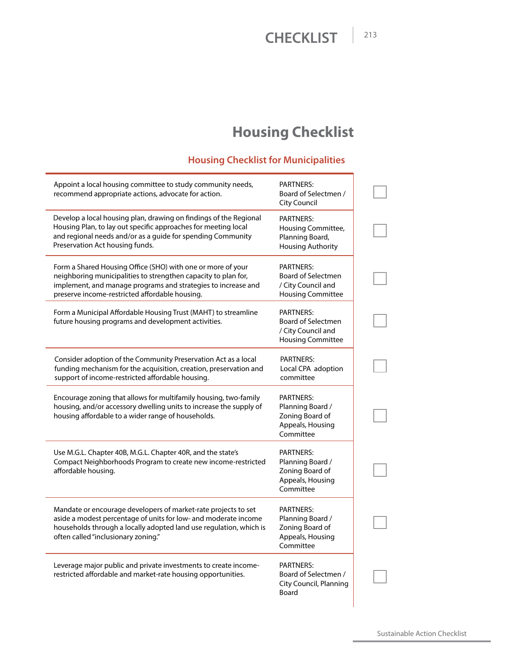# **Housing Checklist**

#### **Housing Checklist for Municipalities**

| Appoint a local housing committee to study community needs,<br>recommend appropriate actions, advocate for action.                                                                                                                               | PARTNERS:<br>Board of Selectmen /<br>City Council                                        |  |
|--------------------------------------------------------------------------------------------------------------------------------------------------------------------------------------------------------------------------------------------------|------------------------------------------------------------------------------------------|--|
| Develop a local housing plan, drawing on findings of the Regional<br>Housing Plan, to lay out specific approaches for meeting local<br>and regional needs and/or as a guide for spending Community<br>Preservation Act housing funds.            | PARTNERS:<br>Housing Committee,<br>Planning Board,<br><b>Housing Authority</b>           |  |
| Form a Shared Housing Office (SHO) with one or more of your<br>neighboring municipalities to strengthen capacity to plan for,<br>implement, and manage programs and strategies to increase and<br>preserve income-restricted affordable housing. | PARTNERS:<br><b>Board of Selectmen</b><br>/ City Council and<br><b>Housing Committee</b> |  |
| Form a Municipal Affordable Housing Trust (MAHT) to streamline<br>future housing programs and development activities.                                                                                                                            | PARTNERS:<br><b>Board of Selectmen</b><br>/ City Council and<br><b>Housing Committee</b> |  |
| Consider adoption of the Community Preservation Act as a local<br>funding mechanism for the acquisition, creation, preservation and<br>support of income-restricted affordable housing.                                                          | <b>PARTNERS:</b><br>Local CPA adoption<br>committee                                      |  |
| Encourage zoning that allows for multifamily housing, two-family<br>housing, and/or accessory dwelling units to increase the supply of<br>housing affordable to a wider range of households.                                                     | <b>PARTNERS:</b><br>Planning Board /<br>Zoning Board of<br>Appeals, Housing<br>Committee |  |
| Use M.G.L. Chapter 40B, M.G.L. Chapter 40R, and the state's<br>Compact Neighborhoods Program to create new income-restricted<br>affordable housing.                                                                                              | <b>PARTNERS:</b><br>Planning Board /<br>Zoning Board of<br>Appeals, Housing<br>Committee |  |
| Mandate or encourage developers of market-rate projects to set<br>aside a modest percentage of units for low- and moderate income<br>households through a locally adopted land use regulation, which is<br>often called "inclusionary zoning."   | PARTNERS:<br>Planning Board /<br>Zoning Board of<br>Appeals, Housing<br>Committee        |  |
| Leverage major public and private investments to create income-<br>restricted affordable and market-rate housing opportunities.                                                                                                                  | PARTNERS:<br>Board of Selectmen /<br><b>City Council, Planning</b><br>Board              |  |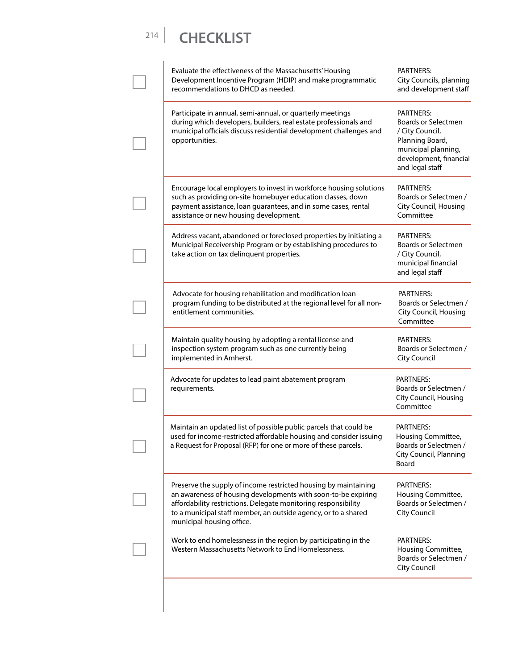| Evaluate the effectiveness of the Massachusetts' Housing<br>Development Incentive Program (HDIP) and make programmatic<br>recommendations to DHCD as needed.                                                                                                                                      | PARTNERS:<br>City Councils, planning<br>and development staff                                                                                            |
|---------------------------------------------------------------------------------------------------------------------------------------------------------------------------------------------------------------------------------------------------------------------------------------------------|----------------------------------------------------------------------------------------------------------------------------------------------------------|
| Participate in annual, semi-annual, or quarterly meetings<br>during which developers, builders, real estate professionals and<br>municipal officials discuss residential development challenges and<br>opportunities.                                                                             | <b>PARTNERS:</b><br><b>Boards or Selectmen</b><br>/ City Council,<br>Planning Board,<br>municipal planning,<br>development, financial<br>and legal staff |
| Encourage local employers to invest in workforce housing solutions<br>such as providing on-site homebuyer education classes, down<br>payment assistance, loan guarantees, and in some cases, rental<br>assistance or new housing development.                                                     | PARTNERS:<br>Boards or Selectmen /<br>City Council, Housing<br>Committee                                                                                 |
| Address vacant, abandoned or foreclosed properties by initiating a<br>Municipal Receivership Program or by establishing procedures to<br>take action on tax delinquent properties.                                                                                                                | PARTNERS:<br><b>Boards or Selectmen</b><br>/ City Council,<br>municipal financial<br>and legal staff                                                     |
| Advocate for housing rehabilitation and modification loan<br>program funding to be distributed at the regional level for all non-<br>entitlement communities.                                                                                                                                     | <b>PARTNERS:</b><br>Boards or Selectmen /<br>City Council, Housing<br>Committee                                                                          |
| Maintain quality housing by adopting a rental license and<br>inspection system program such as one currently being<br>implemented in Amherst.                                                                                                                                                     | PARTNERS:<br>Boards or Selectmen /<br><b>City Council</b>                                                                                                |
| Advocate for updates to lead paint abatement program<br>requirements.                                                                                                                                                                                                                             | PARTNERS:<br>Boards or Selectmen /<br>City Council, Housing<br>Committee                                                                                 |
| Maintain an updated list of possible public parcels that could be<br>used for income-restricted affordable housing and consider issuing<br>a Request for Proposal (RFP) for one or more of these parcels.                                                                                         | PARTNERS:<br>Housing Committee,<br>Boards or Selectmen /<br>City Council, Planning<br>Board                                                              |
| Preserve the supply of income restricted housing by maintaining<br>an awareness of housing developments with soon-to-be expiring<br>affordability restrictions. Delegate monitoring responsibility<br>to a municipal staff member, an outside agency, or to a shared<br>municipal housing office. | PARTNERS:<br>Housing Committee,<br>Boards or Selectmen /<br><b>City Council</b>                                                                          |
| Work to end homelessness in the region by participating in the<br>Western Massachusetts Network to End Homelessness.                                                                                                                                                                              | <b>PARTNERS:</b><br>Housing Committee,<br>Boards or Selectmen /<br>City Council                                                                          |
|                                                                                                                                                                                                                                                                                                   |                                                                                                                                                          |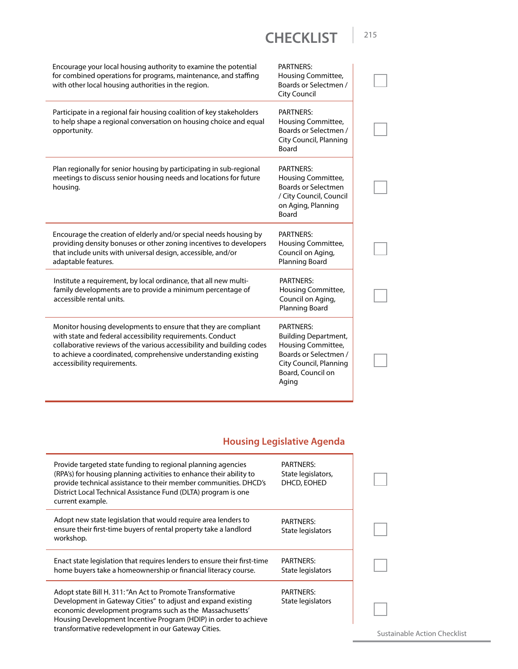| Encourage your local housing authority to examine the potential<br>for combined operations for programs, maintenance, and staffing<br>with other local housing authorities in the region.                                      | <b>PARTNERS:</b><br>Housing Committee,<br>Boards or Selectmen /<br>City Council                                                |  |
|--------------------------------------------------------------------------------------------------------------------------------------------------------------------------------------------------------------------------------|--------------------------------------------------------------------------------------------------------------------------------|--|
| Participate in a regional fair housing coalition of key stakeholders<br>to help shape a regional conversation on housing choice and equal<br>opportunity.                                                                      | <b>PARTNERS:</b><br>Housing Committee,<br>Boards or Selectmen /<br>City Council, Planning<br>Board                             |  |
| Plan regionally for senior housing by participating in sub-regional<br>meetings to discuss senior housing needs and locations for future<br>housing.                                                                           | <b>PARTNERS:</b><br>Housing Committee,<br><b>Boards or Selectmen</b><br>/ City Council, Council<br>on Aging, Planning<br>Board |  |
| Encourage the creation of elderly and/or special needs housing by<br>providing density bonuses or other zoning incentives to developers<br>that include units with universal design, accessible, and/or<br>adaptable features. | <b>PARTNERS:</b><br>Housing Committee,<br>Council on Aging,<br><b>Planning Board</b>                                           |  |
| Institute a requirement, by local ordinance, that all new multi-<br>family developments are to provide a minimum percentage of<br>accessible rental units.                                                                     | <b>PARTNERS:</b><br>Housing Committee,<br>Council on Aging,<br><b>Planning Board</b>                                           |  |
| Monitor housing developments to ensure that they are compliant<br>with state and federal accessibility requirements. Conduct                                                                                                   | PARTNERS:<br><b>Building Department,</b>                                                                                       |  |

#### **Housing Legislative Agenda**

| <b>PARTNERS:</b><br>State legislators,<br>DHCD, EOHED |                             |
|-------------------------------------------------------|-----------------------------|
| <b>PARTNERS:</b><br>State legislators                 |                             |
| <b>PARTNERS:</b><br>State legislators                 |                             |
| <b>PARTNERS:</b><br>State legislators                 | Sustainable Action Checklis |
|                                                       |                             |

Sustainable Action Checklist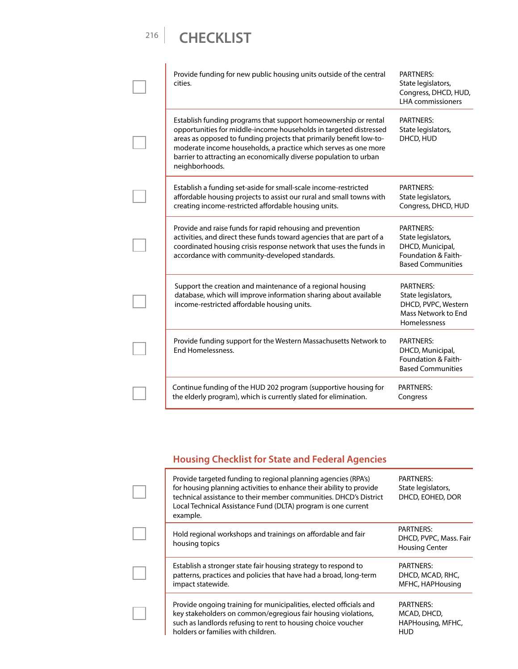| Provide funding for new public housing units outside of the central<br>cities.                                                                                                                                                                                                                                                                                        | <b>PARTNERS:</b><br>State legislators,<br>Congress, DHCD, HUD,<br><b>LHA</b> commissioners                    |
|-----------------------------------------------------------------------------------------------------------------------------------------------------------------------------------------------------------------------------------------------------------------------------------------------------------------------------------------------------------------------|---------------------------------------------------------------------------------------------------------------|
| Establish funding programs that support homeownership or rental<br>opportunities for middle-income households in targeted distressed<br>areas as opposed to funding projects that primarily benefit low-to-<br>moderate income households, a practice which serves as one more<br>barrier to attracting an economically diverse population to urban<br>neighborhoods. | <b>PARTNERS:</b><br>State legislators,<br>DHCD, HUD                                                           |
| Establish a funding set-aside for small-scale income-restricted<br>affordable housing projects to assist our rural and small towns with<br>creating income-restricted affordable housing units.                                                                                                                                                                       | <b>PARTNERS:</b><br>State legislators,<br>Congress, DHCD, HUD                                                 |
| Provide and raise funds for rapid rehousing and prevention<br>activities, and direct these funds toward agencies that are part of a<br>coordinated housing crisis response network that uses the funds in<br>accordance with community-developed standards.                                                                                                           | <b>PARTNERS:</b><br>State legislators,<br>DHCD, Municipal,<br>Foundation & Faith-<br><b>Based Communities</b> |
| Support the creation and maintenance of a regional housing<br>database, which will improve information sharing about available<br>income-restricted affordable housing units.                                                                                                                                                                                         | <b>PARTNERS:</b><br>State legislators,<br>DHCD, PVPC, Western<br>Mass Network to End<br>Homelessness          |
| Provide funding support for the Western Massachusetts Network to<br>End Homelessness.                                                                                                                                                                                                                                                                                 | <b>PARTNERS:</b><br>DHCD, Municipal,<br>Foundation & Faith-<br><b>Based Communities</b>                       |
| Continue funding of the HUD 202 program (supportive housing for<br>the elderly program), which is currently slated for elimination.                                                                                                                                                                                                                                   | <b>PARTNERS:</b><br>Congress                                                                                  |

#### **Housing Checklist for State and Federal Agencies**

| Provide targeted funding to regional planning agencies (RPA's)<br>for housing planning activities to enhance their ability to provide<br>technical assistance to their member communities. DHCD's District<br>Local Technical Assistance Fund (DLTA) program is one current<br>example. | PARTNERS:<br>State legislators,<br>DHCD, EOHED, DOR                 |
|-----------------------------------------------------------------------------------------------------------------------------------------------------------------------------------------------------------------------------------------------------------------------------------------|---------------------------------------------------------------------|
| Hold regional workshops and trainings on affordable and fair<br>housing topics                                                                                                                                                                                                          | <b>PARTNERS:</b><br>DHCD, PVPC, Mass. Fair<br><b>Housing Center</b> |
| Establish a stronger state fair housing strategy to respond to<br>patterns, practices and policies that have had a broad, long-term<br>impact statewide.                                                                                                                                | PARTNERS:<br>DHCD, MCAD, RHC,<br>MFHC, HAPHousing                   |
| Provide ongoing training for municipalities, elected officials and<br>key stakeholders on common/egregious fair housing violations,<br>such as landlords refusing to rent to housing choice voucher<br>holders or families with children.                                               | PARTNERS:<br>MCAD, DHCD,<br>HAPHousing, MFHC,<br>HUD                |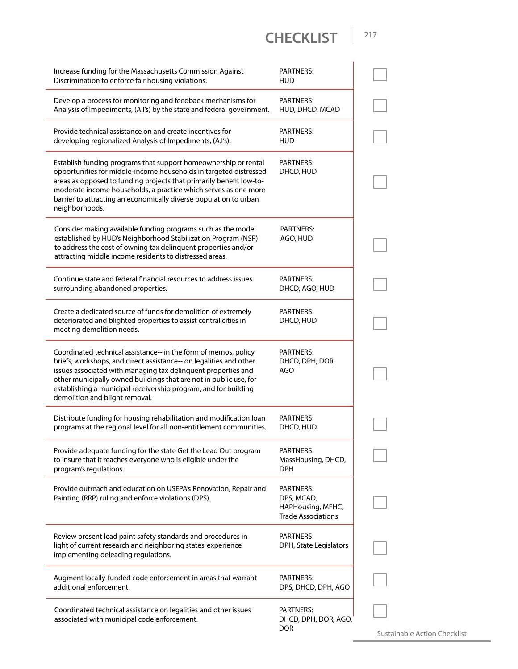| Increase funding for the Massachusetts Commission Against<br>Discrimination to enforce fair housing violations.                                                                                                                                                                                                                                                                  | <b>PARTNERS:</b><br><b>HUD</b>                                            |  |
|----------------------------------------------------------------------------------------------------------------------------------------------------------------------------------------------------------------------------------------------------------------------------------------------------------------------------------------------------------------------------------|---------------------------------------------------------------------------|--|
| Develop a process for monitoring and feedback mechanisms for<br>Analysis of Impediments, (A.I's) by the state and federal government.                                                                                                                                                                                                                                            | <b>PARTNERS:</b><br>HUD, DHCD, MCAD                                       |  |
| Provide technical assistance on and create incentives for<br>developing regionalized Analysis of Impediments, (A.I's).                                                                                                                                                                                                                                                           | <b>PARTNERS:</b><br>HUD                                                   |  |
| Establish funding programs that support homeownership or rental<br>opportunities for middle-income households in targeted distressed<br>areas as opposed to funding projects that primarily benefit low-to-<br>moderate income households, a practice which serves as one more<br>barrier to attracting an economically diverse population to urban<br>neighborhoods.            | <b>PARTNERS:</b><br>DHCD, HUD                                             |  |
| Consider making available funding programs such as the model<br>established by HUD's Neighborhood Stabilization Program (NSP)<br>to address the cost of owning tax delinquent properties and/or<br>attracting middle income residents to distressed areas.                                                                                                                       | <b>PARTNERS:</b><br>AGO, HUD                                              |  |
| Continue state and federal financial resources to address issues<br>surrounding abandoned properties.                                                                                                                                                                                                                                                                            | PARTNERS:<br>DHCD, AGO, HUD                                               |  |
| Create a dedicated source of funds for demolition of extremely<br>deteriorated and blighted properties to assist central cities in<br>meeting demolition needs.                                                                                                                                                                                                                  | <b>PARTNERS:</b><br>DHCD, HUD                                             |  |
| Coordinated technical assistance-- in the form of memos, policy<br>briefs, workshops, and direct assistance-- on legalities and other<br>issues associated with managing tax delinquent properties and<br>other municipally owned buildings that are not in public use, for<br>establishing a municipal receivership program, and for building<br>demolition and blight removal. | <b>PARTNERS:</b><br>DHCD, DPH, DOR,<br>AGO                                |  |
| Distribute funding for housing rehabilitation and modification loan<br>programs at the regional level for all non-entitlement communities.                                                                                                                                                                                                                                       | <b>PARTNERS:</b><br>DHCD, HUD                                             |  |
| Provide adequate funding for the state Get the Lead Out program<br>to insure that it reaches everyone who is eligible under the<br>program's regulations.                                                                                                                                                                                                                        | <b>PARTNERS:</b><br>MassHousing, DHCD,<br><b>DPH</b>                      |  |
| Provide outreach and education on USEPA's Renovation, Repair and<br>Painting (RRP) ruling and enforce violations (DPS).                                                                                                                                                                                                                                                          | PARTNERS:<br>DPS, MCAD,<br>HAPHousing, MFHC,<br><b>Trade Associations</b> |  |
| Review present lead paint safety standards and procedures in<br>light of current research and neighboring states' experience<br>implementing deleading regulations.                                                                                                                                                                                                              | <b>PARTNERS:</b><br>DPH, State Legislators                                |  |
| Augment locally-funded code enforcement in areas that warrant<br>additional enforcement.                                                                                                                                                                                                                                                                                         | PARTNERS:<br>DPS, DHCD, DPH, AGO                                          |  |
| Coordinated technical assistance on legalities and other issues<br>associated with municipal code enforcement.                                                                                                                                                                                                                                                                   | PARTNERS:<br>DHCD, DPH, DOR, AGO,<br><b>DOR</b>                           |  |

Sustainable Action Checklist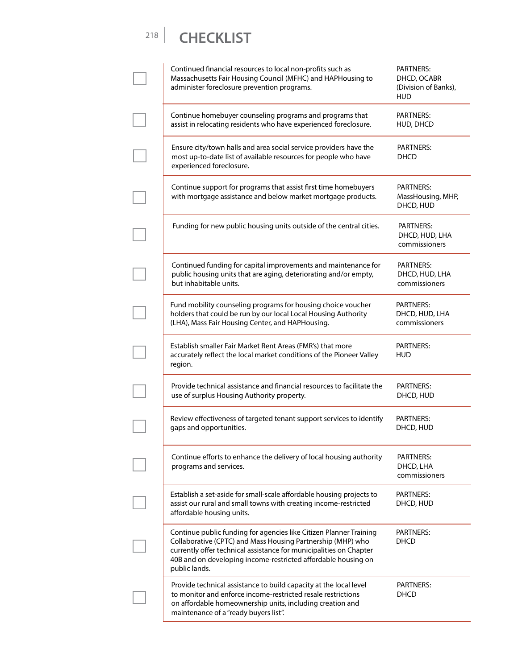| Continued financial resources to local non-profits such as<br>Massachusetts Fair Housing Council (MFHC) and HAPHousing to<br>administer foreclosure prevention programs.                                                                                                                  | <b>PARTNERS:</b><br>DHCD, OCABR<br>(Division of Banks),<br><b>HUD</b> |
|-------------------------------------------------------------------------------------------------------------------------------------------------------------------------------------------------------------------------------------------------------------------------------------------|-----------------------------------------------------------------------|
| Continue homebuyer counseling programs and programs that<br>assist in relocating residents who have experienced foreclosure.                                                                                                                                                              | PARTNERS:<br>HUD, DHCD                                                |
| Ensure city/town halls and area social service providers have the<br>most up-to-date list of available resources for people who have<br>experienced foreclosure.                                                                                                                          | <b>PARTNERS:</b><br>DHCD                                              |
| Continue support for programs that assist first time homebuyers<br>with mortgage assistance and below market mortgage products.                                                                                                                                                           | PARTNERS:<br>MassHousing, MHP,<br>DHCD, HUD                           |
| Funding for new public housing units outside of the central cities.                                                                                                                                                                                                                       | PARTNERS:<br>DHCD, HUD, LHA<br>commissioners                          |
| Continued funding for capital improvements and maintenance for<br>public housing units that are aging, deteriorating and/or empty,<br>but inhabitable units.                                                                                                                              | PARTNERS:<br>DHCD, HUD, LHA<br>commissioners                          |
| Fund mobility counseling programs for housing choice voucher<br>holders that could be run by our local Local Housing Authority<br>(LHA), Mass Fair Housing Center, and HAPHousing.                                                                                                        | <b>PARTNERS:</b><br>DHCD, HUD, LHA<br>commissioners                   |
| Establish smaller Fair Market Rent Areas (FMR's) that more<br>accurately reflect the local market conditions of the Pioneer Valley<br>region.                                                                                                                                             | <b>PARTNERS:</b><br><b>HUD</b>                                        |
| Provide technical assistance and financial resources to facilitate the<br>use of surplus Housing Authority property.                                                                                                                                                                      | <b>PARTNERS:</b><br>DHCD, HUD                                         |
| Review effectiveness of targeted tenant support services to identify<br>gaps and opportunities.                                                                                                                                                                                           | <b>PARTNERS:</b><br>DHCD, HUD                                         |
| Continue efforts to enhance the delivery of local housing authority<br>programs and services.                                                                                                                                                                                             | PARTNERS:<br>DHCD, LHA<br>commissioners                               |
| Establish a set-aside for small-scale affordable housing projects to<br>assist our rural and small towns with creating income-restricted<br>affordable housing units.                                                                                                                     | PARTNERS:<br>DHCD, HUD                                                |
| Continue public funding for agencies like Citizen Planner Training<br>Collaborative (CPTC) and Mass Housing Partnership (MHP) who<br>currently offer technical assistance for municipalities on Chapter<br>40B and on developing income-restricted affordable housing on<br>public lands. | <b>PARTNERS:</b><br>DHCD                                              |
| Provide technical assistance to build capacity at the local level<br>to monitor and enforce income-restricted resale restrictions<br>on affordable homeownership units, including creation and<br>maintenance of a "ready buyers list".                                                   | PARTNERS:<br>DHCD                                                     |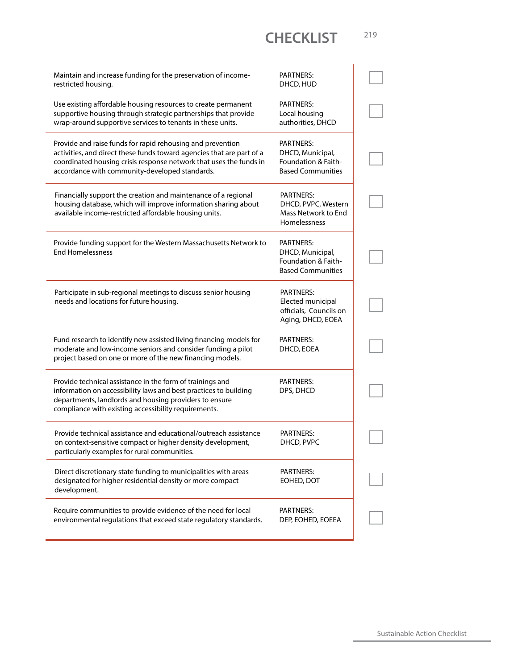| Maintain and increase funding for the preservation of income-<br>restricted housing.                                                                                                                                                                        | <b>PARTNERS:</b><br>DHCD, HUD                                                           |
|-------------------------------------------------------------------------------------------------------------------------------------------------------------------------------------------------------------------------------------------------------------|-----------------------------------------------------------------------------------------|
| Use existing affordable housing resources to create permanent<br>supportive housing through strategic partnerships that provide<br>wrap-around supportive services to tenants in these units.                                                               | <b>PARTNERS:</b><br>Local housing<br>authorities, DHCD                                  |
| Provide and raise funds for rapid rehousing and prevention<br>activities, and direct these funds toward agencies that are part of a<br>coordinated housing crisis response network that uses the funds in<br>accordance with community-developed standards. | <b>PARTNERS:</b><br>DHCD, Municipal,<br>Foundation & Faith-<br><b>Based Communities</b> |
| Financially support the creation and maintenance of a regional<br>housing database, which will improve information sharing about<br>available income-restricted affordable housing units.                                                                   | PARTNERS:<br>DHCD, PVPC, Western<br>Mass Network to End<br><b>Homelessness</b>          |
| Provide funding support for the Western Massachusetts Network to<br><b>End Homelessness</b>                                                                                                                                                                 | <b>PARTNERS:</b><br>DHCD, Municipal,<br>Foundation & Faith-<br><b>Based Communities</b> |
| Participate in sub-regional meetings to discuss senior housing<br>needs and locations for future housing.                                                                                                                                                   | <b>PARTNERS:</b><br>Elected municipal<br>officials, Councils on<br>Aging, DHCD, EOEA    |
| Fund research to identify new assisted living financing models for<br>moderate and low-income seniors and consider funding a pilot<br>project based on one or more of the new financing models.                                                             | <b>PARTNERS:</b><br>DHCD, EOEA                                                          |
| Provide technical assistance in the form of trainings and<br>information on accessibility laws and best practices to building<br>departments, landlords and housing providers to ensure<br>compliance with existing accessibility requirements.             | <b>PARTNERS:</b><br>DPS, DHCD                                                           |
| Provide technical assistance and educational/outreach assistance<br>on context-sensitive compact or higher density development,<br>particularly examples for rural communities.                                                                             | PARTNERS:<br>DHCD, PVPC                                                                 |
| Direct discretionary state funding to municipalities with areas<br>designated for higher residential density or more compact<br>development.                                                                                                                | PARTNERS:<br>EOHED, DOT                                                                 |
| Require communities to provide evidence of the need for local<br>environmental regulations that exceed state regulatory standards.                                                                                                                          | <b>PARTNERS:</b><br>DEP, EOHED, EOEEA                                                   |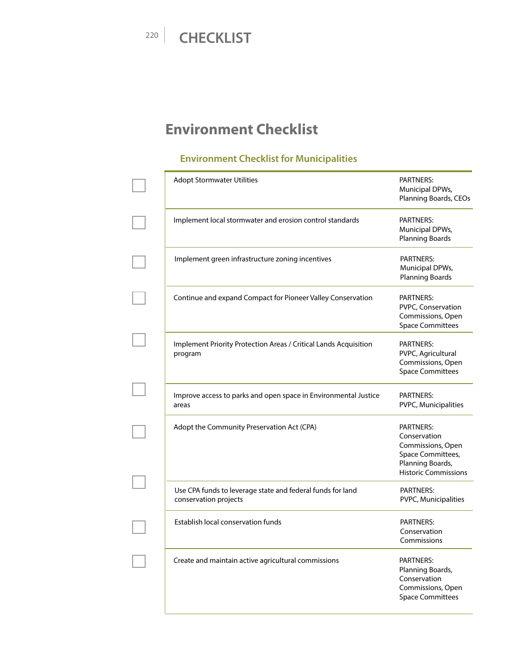# **Environment Checklist**

#### **Environment Checklist for Municipalities**

| <b>PARTNERS:</b><br>Municipal DPWs,<br>Planning Boards, CEOs                                                                  |
|-------------------------------------------------------------------------------------------------------------------------------|
| <b>PARTNERS:</b><br>Municipal DPWs,<br><b>Planning Boards</b>                                                                 |
| <b>PARTNERS:</b><br>Municipal DPWs,<br><b>Planning Boards</b>                                                                 |
| <b>PARTNERS:</b><br>PVPC, Conservation<br>Commissions, Open<br><b>Space Committees</b>                                        |
| <b>PARTNERS:</b><br>PVPC, Agricultural<br>Commissions, Open<br><b>Space Committees</b>                                        |
| <b>PARTNERS:</b><br>PVPC, Municipalities                                                                                      |
| <b>PARTNERS:</b><br>Conservation<br>Commissions, Open<br>Space Committees,<br>Planning Boards,<br><b>Historic Commissions</b> |
| <b>PARTNERS:</b><br>PVPC, Municipalities                                                                                      |
| <b>PARTNERS:</b><br>Conservation<br>Commissions                                                                               |
| PARTNERS:<br>Planning Boards,<br>Conservation<br>Commissions, Open<br><b>Space Committees</b>                                 |
|                                                                                                                               |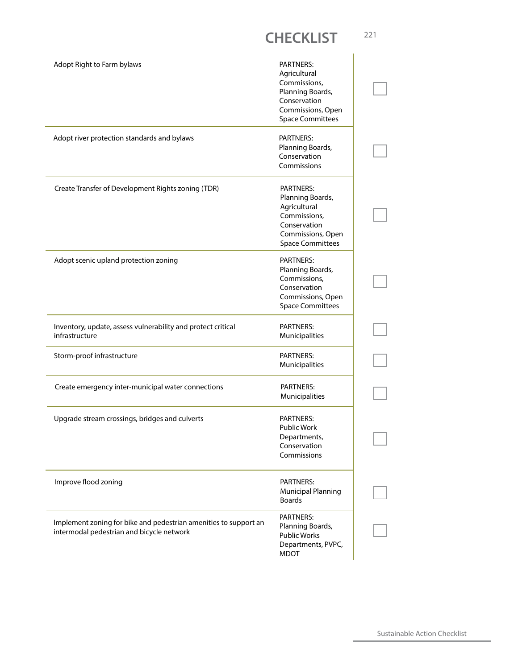| Adopt Right to Farm bylaws                                                                                    | PARTNERS:<br>Agricultural<br>Commissions,<br>Planning Boards,<br>Conservation<br>Commissions, Open<br><b>Space Committees</b>        |  |
|---------------------------------------------------------------------------------------------------------------|--------------------------------------------------------------------------------------------------------------------------------------|--|
| Adopt river protection standards and bylaws                                                                   | <b>PARTNERS:</b><br>Planning Boards,<br>Conservation<br>Commissions                                                                  |  |
| Create Transfer of Development Rights zoning (TDR)                                                            | <b>PARTNERS:</b><br>Planning Boards,<br>Agricultural<br>Commissions,<br>Conservation<br>Commissions, Open<br><b>Space Committees</b> |  |
| Adopt scenic upland protection zoning                                                                         | <b>PARTNERS:</b><br>Planning Boards,<br>Commissions,<br>Conservation<br>Commissions, Open<br><b>Space Committees</b>                 |  |
| Inventory, update, assess vulnerability and protect critical<br>infrastructure                                | <b>PARTNERS:</b><br>Municipalities                                                                                                   |  |
| Storm-proof infrastructure                                                                                    | <b>PARTNERS:</b><br>Municipalities                                                                                                   |  |
| Create emergency inter-municipal water connections                                                            | <b>PARTNERS:</b><br>Municipalities                                                                                                   |  |
| Upgrade stream crossings, bridges and culverts                                                                | <b>PARTNERS:</b><br><b>Public Work</b><br>Departments,<br>Conservation<br>Commissions                                                |  |
| Improve flood zoning                                                                                          | <b>PARTNERS:</b><br><b>Municipal Planning</b><br><b>Boards</b>                                                                       |  |
| Implement zoning for bike and pedestrian amenities to support an<br>intermodal pedestrian and bicycle network | <b>PARTNERS:</b><br>Planning Boards,<br><b>Public Works</b><br>Departments, PVPC,<br>MDOT                                            |  |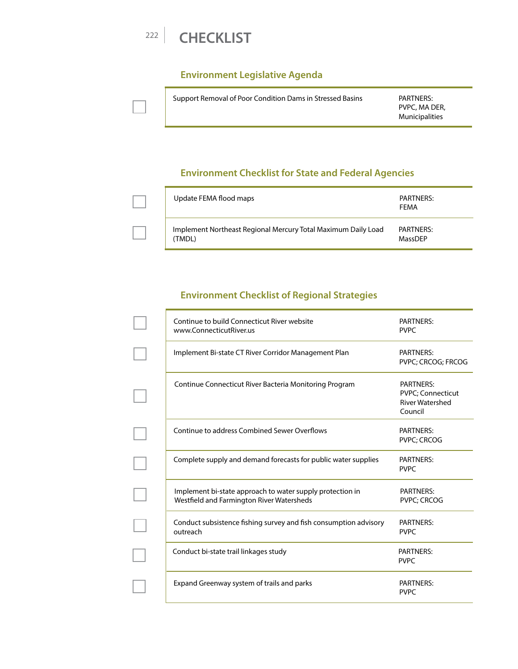

#### **Environment Legislative Agenda**

| Support Removal of Poor Condition Dams in Stressed Basins |
|-----------------------------------------------------------|
|                                                           |

PARTNERS: PVPC, MA DER, Municipalities

#### **Environment Checklist for State and Federal Agencies**

| Update FEMA flood maps                                                  | PARTNERS:<br><b>FFMA</b> |
|-------------------------------------------------------------------------|--------------------------|
| Implement Northeast Regional Mercury Total Maximum Daily Load<br>(TMDL) | PARTNERS:<br>MassDFP     |

#### **Environment Checklist of Regional Strategies**

| Continue to build Connecticut River website<br>www.ConnecticutRiver.us                                 | <b>PARTNERS:</b><br><b>PVPC</b>                                                    |
|--------------------------------------------------------------------------------------------------------|------------------------------------------------------------------------------------|
| Implement Bi-state CT River Corridor Management Plan                                                   | <b>PARTNERS:</b><br>PVPC; CRCOG; FRCOG                                             |
| Continue Connecticut River Bacteria Monitoring Program                                                 | <b>PARTNERS:</b><br><b>PVPC</b> ; Connecticut<br><b>River Watershed</b><br>Council |
| Continue to address Combined Sewer Overflows                                                           | <b>PARTNERS:</b><br>PVPC; CRCOG                                                    |
| Complete supply and demand forecasts for public water supplies                                         | <b>PARTNERS:</b><br><b>PVPC</b>                                                    |
| Implement bi-state approach to water supply protection in<br>Westfield and Farmington River Watersheds | <b>PARTNERS:</b><br><b>PVPC; CRCOG</b>                                             |
| Conduct subsistence fishing survey and fish consumption advisory<br>outreach                           | <b>PARTNERS:</b><br><b>PVPC</b>                                                    |
| Conduct bi-state trail linkages study                                                                  | <b>PARTNERS:</b><br><b>PVPC</b>                                                    |
| Expand Greenway system of trails and parks                                                             | <b>PARTNERS:</b><br><b>PVPC</b>                                                    |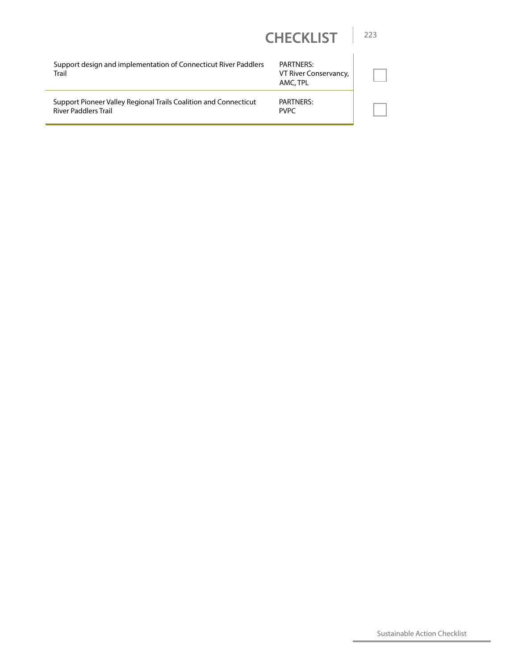| Support design and implementation of Connecticut River Paddlers<br>Trail                        | <b>PARTNERS:</b><br>VT River Conservancy,<br>AMC, TPL |  |
|-------------------------------------------------------------------------------------------------|-------------------------------------------------------|--|
| Support Pioneer Valley Regional Trails Coalition and Connecticut<br><b>River Paddlers Trail</b> | PARTNERS:<br><b>PVPC</b>                              |  |

Sustainable Action Checklist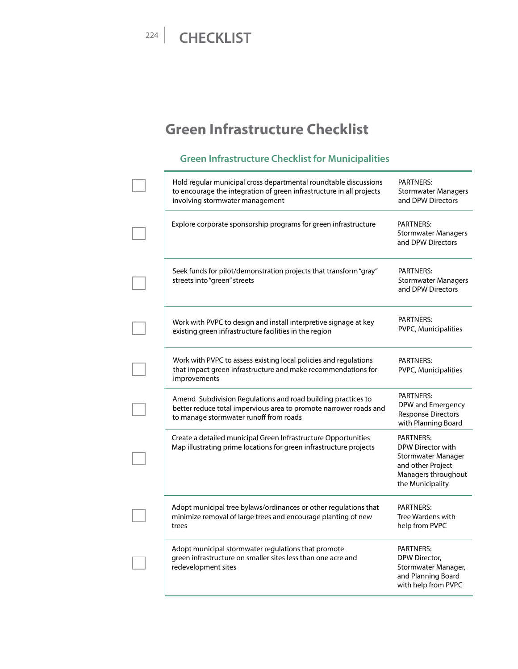# **Green Infrastructure Checklist**

#### **Green Infrastructure Checklist for Municipalities**

| Hold regular municipal cross departmental roundtable discussions<br>to encourage the integration of green infrastructure in all projects<br>involving stormwater management | PARTNERS:<br><b>Stormwater Managers</b><br>and DPW Directors                                                                |
|-----------------------------------------------------------------------------------------------------------------------------------------------------------------------------|-----------------------------------------------------------------------------------------------------------------------------|
| Explore corporate sponsorship programs for green infrastructure                                                                                                             | <b>PARTNERS:</b><br><b>Stormwater Managers</b><br>and DPW Directors                                                         |
| Seek funds for pilot/demonstration projects that transform "gray"<br>streets into "green" streets                                                                           | <b>PARTNERS:</b><br><b>Stormwater Managers</b><br>and DPW Directors                                                         |
| Work with PVPC to design and install interpretive signage at key<br>existing green infrastructure facilities in the region                                                  | <b>PARTNERS:</b><br>PVPC, Municipalities                                                                                    |
| Work with PVPC to assess existing local policies and regulations<br>that impact green infrastructure and make recommendations for<br>improvements                           | <b>PARTNERS:</b><br>PVPC, Municipalities                                                                                    |
| Amend Subdivision Regulations and road building practices to<br>better reduce total impervious area to promote narrower roads and<br>to manage stormwater runoff from roads | <b>PARTNERS:</b><br>DPW and Emergency<br><b>Response Directors</b><br>with Planning Board                                   |
| Create a detailed municipal Green Infrastructure Opportunities<br>Map illustrating prime locations for green infrastructure projects                                        | <b>PARTNERS:</b><br>DPW Director with<br>Stormwater Manager<br>and other Project<br>Managers throughout<br>the Municipality |
| Adopt municipal tree bylaws/ordinances or other regulations that<br>minimize removal of large trees and encourage planting of new<br>trees                                  | PARTNERS:<br>Tree Wardens with<br>help from PVPC                                                                            |
| Adopt municipal stormwater regulations that promote<br>green infrastructure on smaller sites less than one acre and<br>redevelopment sites                                  | PARTNERS:<br>DPW Director,<br>Stormwater Manager,<br>and Planning Board<br>with help from PVPC                              |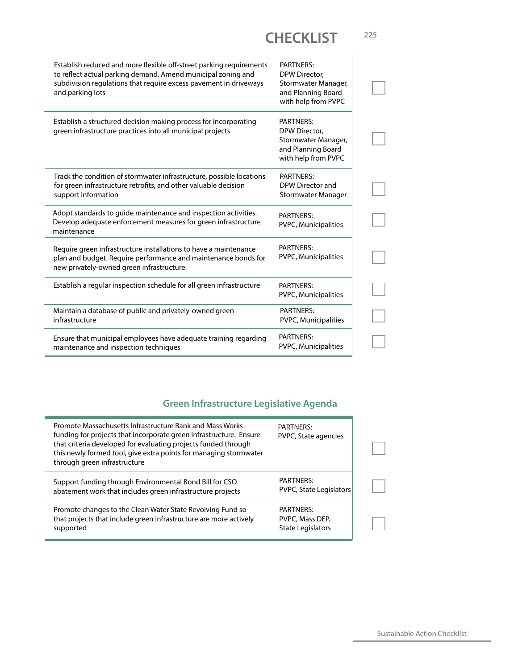| Establish reduced and more flexible off-street parking requirements<br>to reflect actual parking demand. Amend municipal zoning and<br>subdivision regulations that require excess pavement in driveways<br>and parking lots | <b>PARTNERS:</b><br>DPW Director,<br>Stormwater Manager,<br>and Planning Board<br>with help from PVPC |  |
|------------------------------------------------------------------------------------------------------------------------------------------------------------------------------------------------------------------------------|-------------------------------------------------------------------------------------------------------|--|
| Establish a structured decision making process for incorporating<br>green infrastructure practices into all municipal projects                                                                                               | <b>PARTNERS:</b><br>DPW Director,<br>Stormwater Manager,<br>and Planning Board<br>with help from PVPC |  |
| Track the condition of stormwater infrastructure, possible locations<br>for green infrastructure retrofits, and other valuable decision<br>support information                                                               | <b>PARTNERS:</b><br>DPW Director and<br>Stormwater Manager                                            |  |
| Adopt standards to quide maintenance and inspection activities.<br>Develop adequate enforcement measures for green infrastructure<br>maintenance                                                                             | <b>PARTNERS:</b><br>PVPC, Municipalities                                                              |  |
| Require green infrastructure installations to have a maintenance<br>plan and budget. Require performance and maintenance bonds for<br>new privately-owned green infrastructure                                               | <b>PARTNERS:</b><br>PVPC, Municipalities                                                              |  |
| Establish a regular inspection schedule for all green infrastructure                                                                                                                                                         | <b>PARTNERS:</b><br>PVPC, Municipalities                                                              |  |
| Maintain a database of public and privately-owned green<br>infrastructure                                                                                                                                                    | <b>PARTNERS:</b><br>PVPC, Municipalities                                                              |  |
| Ensure that municipal employees have adequate training regarding<br>maintenance and inspection techniques                                                                                                                    | PARTNERS:<br>PVPC, Municipalities                                                                     |  |

#### **Green Infrastructure Legislative Agenda**

| Promote Massachusetts Infrastructure Bank and Mass Works<br>funding for projects that incorporate green infrastructure. Ensure<br>that criteria developed for evaluating projects funded through<br>this newly formed tool, give extra points for managing stormwater<br>through green infrastructure | <b>PARTNERS:</b><br>PVPC, State agencies                 |  |
|-------------------------------------------------------------------------------------------------------------------------------------------------------------------------------------------------------------------------------------------------------------------------------------------------------|----------------------------------------------------------|--|
| Support funding through Environmental Bond Bill for CSO<br>abatement work that includes green infrastructure projects                                                                                                                                                                                 | <b>PARTNERS:</b><br>PVPC, State Legislators              |  |
| Promote changes to the Clean Water State Revolving Fund so<br>that projects that include green infrastructure are more actively<br>supported                                                                                                                                                          | <b>PARTNERS:</b><br>PVPC, Mass DEP,<br>State Legislators |  |

Sustainable Action Checklist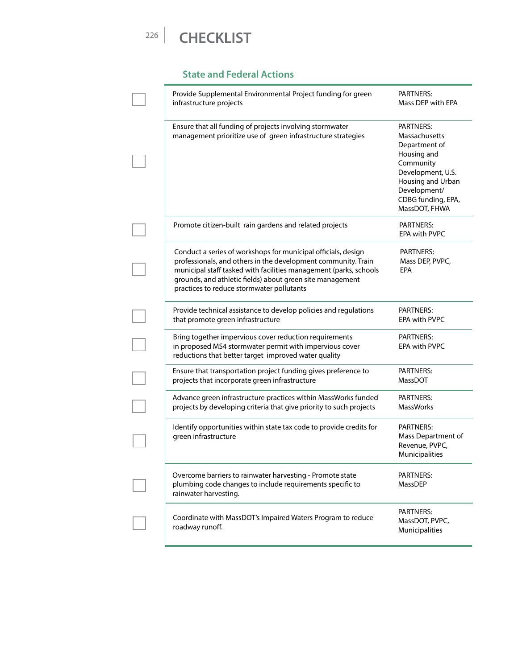#### **State and Federal Actions**

| Provide Supplemental Environmental Project funding for green<br>infrastructure projects                                                                                                                                                                                                                       | PARTNERS:<br>Mass DEP with EPA                                                                                                                                                  |
|---------------------------------------------------------------------------------------------------------------------------------------------------------------------------------------------------------------------------------------------------------------------------------------------------------------|---------------------------------------------------------------------------------------------------------------------------------------------------------------------------------|
| Ensure that all funding of projects involving stormwater<br>management prioritize use of green infrastructure strategies                                                                                                                                                                                      | <b>PARTNERS:</b><br>Massachusetts<br>Department of<br>Housing and<br>Community<br>Development, U.S.<br>Housing and Urban<br>Development/<br>CDBG funding, EPA,<br>MassDOT, FHWA |
| Promote citizen-built rain gardens and related projects                                                                                                                                                                                                                                                       | PARTNERS:<br><b>EPA with PVPC</b>                                                                                                                                               |
| Conduct a series of workshops for municipal officials, design<br>professionals, and others in the development community. Train<br>municipal staff tasked with facilities management (parks, schools<br>grounds, and athletic fields) about green site management<br>practices to reduce stormwater pollutants | <b>PARTNERS:</b><br>Mass DEP, PVPC,<br><b>EPA</b>                                                                                                                               |
| Provide technical assistance to develop policies and regulations<br>that promote green infrastructure                                                                                                                                                                                                         | PARTNERS:<br><b>EPA with PVPC</b>                                                                                                                                               |
| Bring together impervious cover reduction requirements<br>in proposed MS4 stormwater permit with impervious cover<br>reductions that better target improved water quality                                                                                                                                     | PARTNERS:<br>EPA with PVPC                                                                                                                                                      |
| Ensure that transportation project funding gives preference to<br>projects that incorporate green infrastructure                                                                                                                                                                                              | PARTNERS:<br><b>MassDOT</b>                                                                                                                                                     |
| Advance green infrastructure practices within MassWorks funded<br>projects by developing criteria that give priority to such projects                                                                                                                                                                         | PARTNERS:<br><b>MassWorks</b>                                                                                                                                                   |
| Identify opportunities within state tax code to provide credits for<br>green infrastructure                                                                                                                                                                                                                   | PARTNERS:<br>Mass Department of<br>Revenue, PVPC,<br>Municipalities                                                                                                             |
| Overcome barriers to rainwater harvesting - Promote state<br>plumbing code changes to include requirements specific to<br>rainwater harvesting.                                                                                                                                                               | <b>PARTNERS:</b><br>MassDEP                                                                                                                                                     |
| Coordinate with MassDOT's Impaired Waters Program to reduce<br>roadway runoff.                                                                                                                                                                                                                                | PARTNERS:<br>MassDOT, PVPC,<br>Municipalities                                                                                                                                   |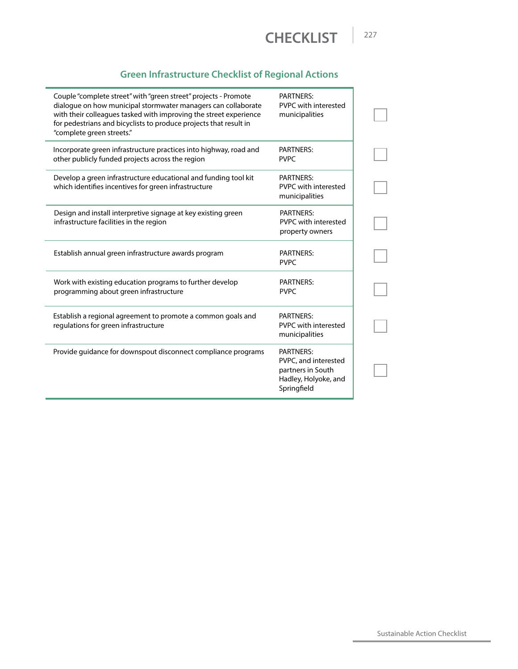

#### **Green Infrastructure Checklist of Regional Actions**

| Couple "complete street" with "green street" projects - Promote<br>dialogue on how municipal stormwater managers can collaborate<br>with their colleagues tasked with improving the street experience<br>for pedestrians and bicyclists to produce projects that result in<br>"complete green streets." | <b>PARTNERS:</b><br>PVPC with interested<br>municipalities                                    |
|---------------------------------------------------------------------------------------------------------------------------------------------------------------------------------------------------------------------------------------------------------------------------------------------------------|-----------------------------------------------------------------------------------------------|
| Incorporate green infrastructure practices into highway, road and<br>other publicly funded projects across the region                                                                                                                                                                                   | <b>PARTNERS:</b><br><b>PVPC</b>                                                               |
| Develop a green infrastructure educational and funding tool kit<br>which identifies incentives for green infrastructure                                                                                                                                                                                 | <b>PARTNERS:</b><br>PVPC with interested<br>municipalities                                    |
| Design and install interpretive signage at key existing green<br>infrastructure facilities in the region                                                                                                                                                                                                | <b>PARTNERS:</b><br>PVPC with interested<br>property owners                                   |
| Establish annual green infrastructure awards program                                                                                                                                                                                                                                                    | <b>PARTNERS:</b><br><b>PVPC</b>                                                               |
| Work with existing education programs to further develop<br>programming about green infrastructure                                                                                                                                                                                                      | <b>PARTNERS:</b><br><b>PVPC</b>                                                               |
| Establish a regional agreement to promote a common goals and<br>regulations for green infrastructure                                                                                                                                                                                                    | <b>PARTNERS:</b><br>PVPC with interested<br>municipalities                                    |
| Provide guidance for downspout disconnect compliance programs                                                                                                                                                                                                                                           | PARTNERS:<br>PVPC, and interested<br>partners in South<br>Hadley, Holyoke, and<br>Springfield |

Sustainable Action Checklist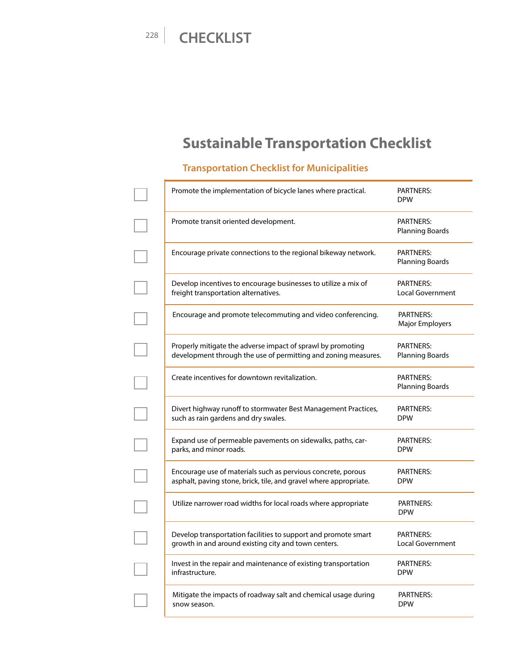# **Sustainable Transportation Checklist**

#### **Transportation Checklist for Municipalities**

| Promote the implementation of bicycle lanes where practical.      | <b>PARTNERS:</b><br><b>DPW</b>      |
|-------------------------------------------------------------------|-------------------------------------|
| Promote transit oriented development.                             | PARTNERS:<br><b>Planning Boards</b> |
| Encourage private connections to the regional bikeway network.    | PARTNERS:<br>Planning Boards        |
| Develop incentives to encourage businesses to utilize a mix of    | <b>PARTNERS:</b>                    |
| freight transportation alternatives.                              | <b>Local Government</b>             |
| Encourage and promote telecommuting and video conferencing.       | <b>PARTNERS:</b><br>Major Employers |
| Properly mitigate the adverse impact of sprawl by promoting       | PARTNERS:                           |
| development through the use of permitting and zoning measures.    | Planning Boards                     |
| Create incentives for downtown revitalization.                    | <b>PARTNERS:</b><br>Planning Boards |
| Divert highway runoff to stormwater Best Management Practices,    | PARTNERS:                           |
| such as rain gardens and dry swales.                              | <b>DPW</b>                          |
| Expand use of permeable pavements on sidewalks, paths, car-       | PARTNERS:                           |
| parks, and minor roads.                                           | <b>DPW</b>                          |
| Encourage use of materials such as pervious concrete, porous      | PARTNERS:                           |
| asphalt, paving stone, brick, tile, and gravel where appropriate. | <b>DPW</b>                          |
| Utilize narrower road widths for local roads where appropriate    | PARTNERS:<br><b>DPW</b>             |
| Develop transportation facilities to support and promote smart    | PARTNERS:                           |
| growth in and around existing city and town centers.              | <b>Local Government</b>             |
| Invest in the repair and maintenance of existing transportation   | PARTNERS:                           |
| infrastructure.                                                   | <b>DPW</b>                          |
| Mitigate the impacts of roadway salt and chemical usage during    | <b>PARTNERS:</b>                    |
| snow season.                                                      | <b>DPW</b>                          |
|                                                                   |                                     |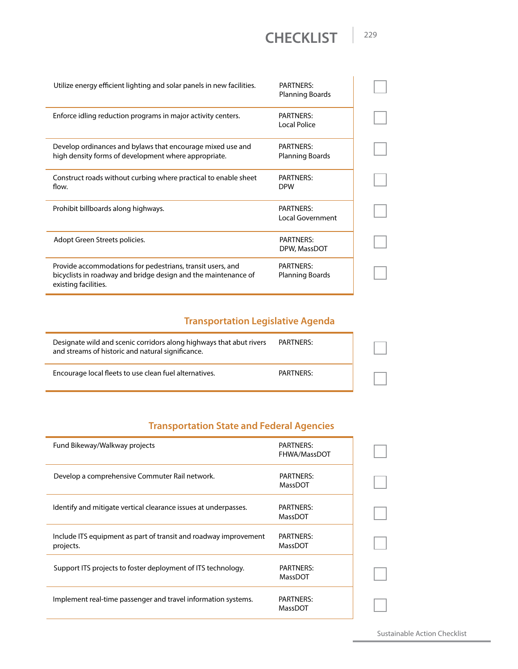| Utilize energy efficient lighting and solar panels in new facilities.                                                                                | PARTNERS:<br>Planning Boards   |  |
|------------------------------------------------------------------------------------------------------------------------------------------------------|--------------------------------|--|
| Enforce idling reduction programs in major activity centers.                                                                                         | PARTNERS:<br>Local Police      |  |
| Develop ordinances and bylaws that encourage mixed use and<br>high density forms of development where appropriate.                                   | PARTNERS:<br>Planning Boards   |  |
| Construct roads without curbing where practical to enable sheet<br>flow.                                                                             | <b>PARTNERS:</b><br><b>DPW</b> |  |
| Prohibit billboards along highways.                                                                                                                  | PARTNERS:<br>Local Government  |  |
| Adopt Green Streets policies.                                                                                                                        | PARTNERS:<br>DPW, MassDOT      |  |
| Provide accommodations for pedestrians, transit users, and<br>bicyclists in roadway and bridge design and the maintenance of<br>existing facilities. | PARTNERS:<br>Planning Boards   |  |

#### **Transportation Legislative Agenda**

| Designate wild and scenic corridors along highways that abut rivers<br>and streams of historic and natural significance. | PARTNERS: |  |
|--------------------------------------------------------------------------------------------------------------------------|-----------|--|
| Encourage local fleets to use clean fuel alternatives.                                                                   | PARTNERS: |  |

#### **Transportation State and Federal Agencies**

| Fund Bikeway/Walkway projects                                                 | PARTNERS:<br>FHWA/MassDOT   |  |
|-------------------------------------------------------------------------------|-----------------------------|--|
| Develop a comprehensive Commuter Rail network.                                | <b>PARTNERS:</b><br>MassDOT |  |
| Identify and mitigate vertical clearance issues at underpasses.               | PARTNERS:<br>MassDOT        |  |
| Include ITS equipment as part of transit and roadway improvement<br>projects. | PARTNERS:<br>MassDOT        |  |
| Support ITS projects to foster deployment of ITS technology.                  | <b>PARTNERS:</b><br>MassDOT |  |
| Implement real-time passenger and travel information systems.                 | <b>PARTNERS:</b><br>MassDOT |  |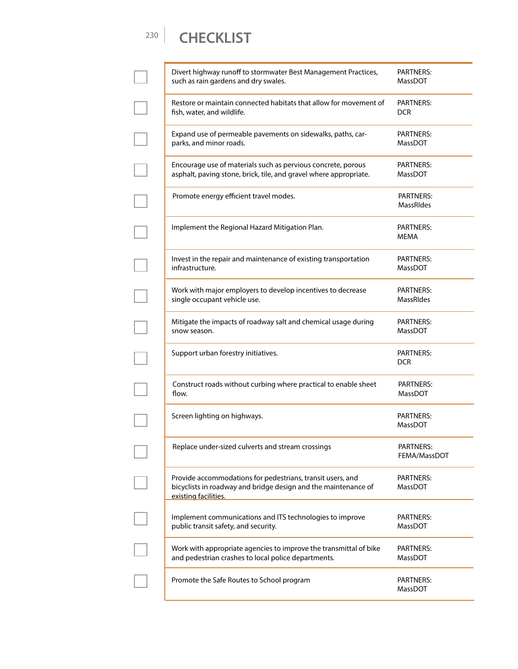| Divert highway runoff to stormwater Best Management Practices,<br>such as rain gardens and dry swales.                                               | PARTNERS:<br>MassDOT                 |
|------------------------------------------------------------------------------------------------------------------------------------------------------|--------------------------------------|
| Restore or maintain connected habitats that allow for movement of<br>fish, water, and wildlife.                                                      | <b>PARTNERS:</b><br><b>DCR</b>       |
| Expand use of permeable pavements on sidewalks, paths, car-<br>parks, and minor roads.                                                               | PARTNERS:<br>MassDOT                 |
| Encourage use of materials such as pervious concrete, porous<br>asphalt, paving stone, brick, tile, and gravel where appropriate.                    | <b>PARTNERS:</b><br>MassDOT          |
| Promote energy efficient travel modes.                                                                                                               | <b>PARTNERS:</b><br><b>MassRIdes</b> |
| Implement the Regional Hazard Mitigation Plan.                                                                                                       | <b>PARTNERS:</b><br><b>MEMA</b>      |
| Invest in the repair and maintenance of existing transportation<br>infrastructure.                                                                   | <b>PARTNERS:</b><br><b>MassDOT</b>   |
| Work with major employers to develop incentives to decrease<br>single occupant vehicle use.                                                          | <b>PARTNERS:</b><br><b>MassRIdes</b> |
| Mitigate the impacts of roadway salt and chemical usage during<br>snow season.                                                                       | <b>PARTNERS:</b><br><b>MassDOT</b>   |
| Support urban forestry initiatives.                                                                                                                  | <b>PARTNERS:</b><br><b>DCR</b>       |
| Construct roads without curbing where practical to enable sheet<br>flow.                                                                             | <b>PARTNERS:</b><br>MassDOT          |
| Screen lighting on highways.                                                                                                                         | <b>PARTNERS:</b><br>MassDOT          |
| Replace under-sized culverts and stream crossings                                                                                                    | PARTNERS:<br>FEMA/MassDOT            |
| Provide accommodations for pedestrians, transit users, and<br>bicyclists in roadway and bridge design and the maintenance of<br>existing facilities. | PARTNERS:<br><b>MassDOT</b>          |
| Implement communications and ITS technologies to improve<br>public transit safety, and security.                                                     | <b>PARTNERS:</b><br>MassDOT          |
| Work with appropriate agencies to improve the transmittal of bike<br>and pedestrian crashes to local police departments.                             | PARTNERS:<br>MassDOT                 |
| Promote the Safe Routes to School program                                                                                                            | PARTNERS:<br>MassDOT                 |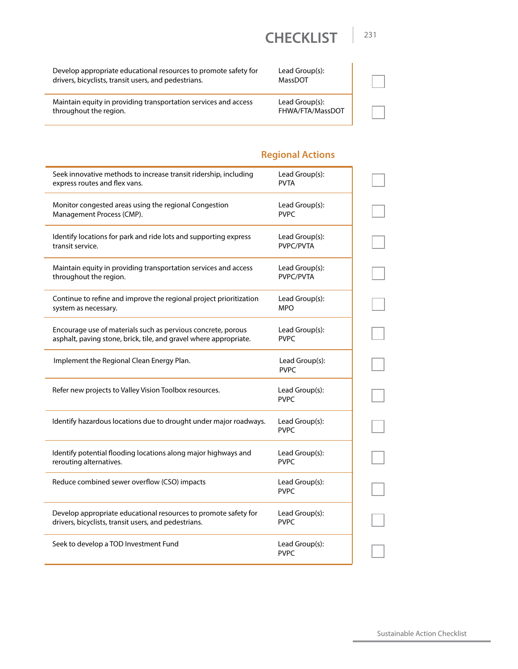| Develop appropriate educational resources to promote safety for |  |
|-----------------------------------------------------------------|--|
| drivers, bicyclists, transit users, and pedestrians.            |  |

Lead Group(s): MassDOT

Maintain equity in providing transportation services and access throughout the region.

| Lead Group(s):   |
|------------------|
| FHWA/FTA/MassDOT |

#### **Regional Actions**

| Seek innovative methods to increase transit ridership, including   | Lead Group(s):                |
|--------------------------------------------------------------------|-------------------------------|
| express routes and flex vans.                                      | <b>PVTA</b>                   |
| Monitor congested areas using the regional Congestion              | Lead Group(s):                |
| Management Process (CMP).                                          | <b>PVPC</b>                   |
| Identify locations for park and ride lots and supporting express   | Lead Group(s):                |
| transit service.                                                   | PVPC/PVTA                     |
| Maintain equity in providing transportation services and access    | Lead Group(s):                |
| throughout the region.                                             | PVPC/PVTA                     |
| Continue to refine and improve the regional project prioritization | Lead Group(s):                |
| system as necessary.                                               | <b>MPO</b>                    |
| Encourage use of materials such as pervious concrete, porous       | Lead Group(s):                |
| asphalt, paving stone, brick, tile, and gravel where appropriate.  | <b>PVPC</b>                   |
| Implement the Regional Clean Energy Plan.                          | Lead Group(s):<br><b>PVPC</b> |
| Refer new projects to Valley Vision Toolbox resources.             | Lead Group(s):<br><b>PVPC</b> |
| Identify hazardous locations due to drought under major roadways.  | Lead Group(s):<br><b>PVPC</b> |
| Identify potential flooding locations along major highways and     | Lead Group(s):                |
| rerouting alternatives.                                            | <b>PVPC</b>                   |
| Reduce combined sewer overflow (CSO) impacts                       | Lead Group(s):<br><b>PVPC</b> |
| Develop appropriate educational resources to promote safety for    | Lead Group(s):                |
| drivers, bicyclists, transit users, and pedestrians.               | <b>PVPC</b>                   |
| Seek to develop a TOD Investment Fund                              | Lead Group(s):<br><b>PVPC</b> |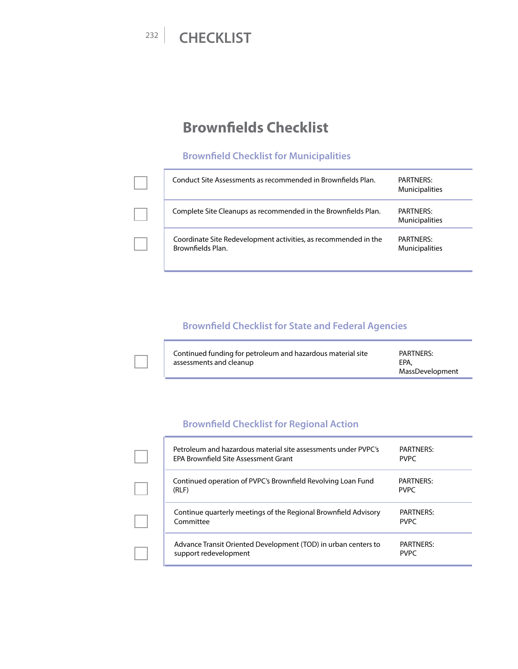L

## **Brownfields Checklist**

#### **Brownfield Checklist for Municipalities**

| Conduct Site Assessments as recommended in Brownfields Plan.                         | PARTNERS:<br><b>Municipalities</b>        |
|--------------------------------------------------------------------------------------|-------------------------------------------|
| Complete Site Cleanups as recommended in the Brownfields Plan.                       | <b>PARTNERS:</b><br><b>Municipalities</b> |
| Coordinate Site Redevelopment activities, as recommended in the<br>Brownfields Plan. | PARTNERS:<br><b>Municipalities</b>        |

#### **Brownfield Checklist for State and Federal Agencies**

| Continued funding for petroleum and hazardous material site<br>assessments and cleanup | PARTNERS:<br>EPA. |
|----------------------------------------------------------------------------------------|-------------------|
|                                                                                        | MassDevelopment   |

#### **Brownfield Checklist for Regional Action**

| Petroleum and hazardous material site assessments under PVPC's<br><b>FPA Brownfield Site Assessment Grant</b> | PARTNERS:<br><b>PVPC</b>        |
|---------------------------------------------------------------------------------------------------------------|---------------------------------|
| Continued operation of PVPC's Brownfield Revolving Loan Fund<br>(RLF)                                         | PARTNERS:<br><b>PVPC</b>        |
| Continue quarterly meetings of the Regional Brownfield Advisory<br>Committee                                  | PARTNERS:<br><b>PVPC</b>        |
| Advance Transit Oriented Development (TOD) in urban centers to<br>support redevelopment                       | <b>PARTNERS:</b><br><b>PVPC</b> |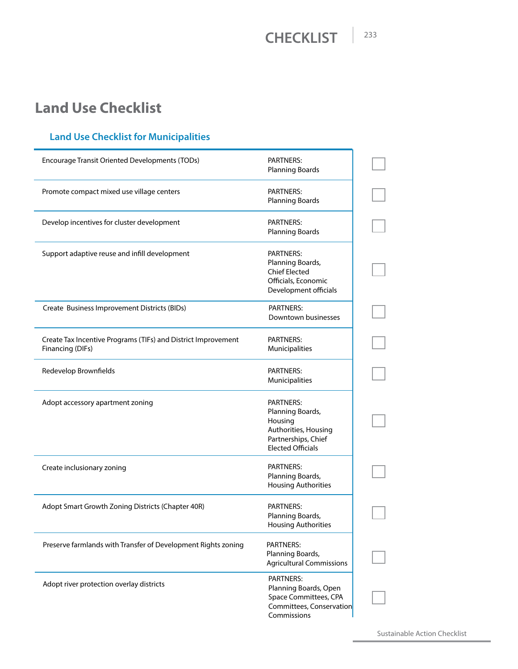# **Land Use Checklist**

#### **Land Use Checklist for Municipalities**

| <b>Encourage Transit Oriented Developments (TODs)</b>                             | PARTNERS:<br><b>Planning Boards</b>                                                                                        |  |
|-----------------------------------------------------------------------------------|----------------------------------------------------------------------------------------------------------------------------|--|
| Promote compact mixed use village centers                                         | PARTNERS:<br><b>Planning Boards</b>                                                                                        |  |
| Develop incentives for cluster development                                        | PARTNERS:<br><b>Planning Boards</b>                                                                                        |  |
| Support adaptive reuse and infill development                                     | PARTNERS:<br>Planning Boards,<br><b>Chief Elected</b><br>Officials, Economic<br>Development officials                      |  |
| Create Business Improvement Districts (BIDs)                                      | <b>PARTNERS:</b><br>Downtown businesses                                                                                    |  |
| Create Tax Incentive Programs (TIFs) and District Improvement<br>Financing (DIFs) | PARTNFRS:<br><b>Municipalities</b>                                                                                         |  |
| Redevelop Brownfields                                                             | <b>PARTNERS:</b><br>Municipalities                                                                                         |  |
| Adopt accessory apartment zoning                                                  | <b>PARTNERS:</b><br>Planning Boards,<br>Housing<br>Authorities, Housing<br>Partnerships, Chief<br><b>Elected Officials</b> |  |
| Create inclusionary zoning                                                        | <b>PARTNERS:</b><br>Planning Boards,<br><b>Housing Authorities</b>                                                         |  |
| Adopt Smart Growth Zoning Districts (Chapter 40R)                                 | PARTNERS:<br>Planning Boards,<br><b>Housing Authorities</b>                                                                |  |
| Preserve farmlands with Transfer of Development Rights zoning                     | <b>PARTNERS:</b><br>Planning Boards,<br><b>Agricultural Commissions</b>                                                    |  |
| Adopt river protection overlay districts                                          | <b>PARTNERS:</b><br>Planning Boards, Open<br>Space Committees, CPA<br>Committees, Conservation<br>Commissions              |  |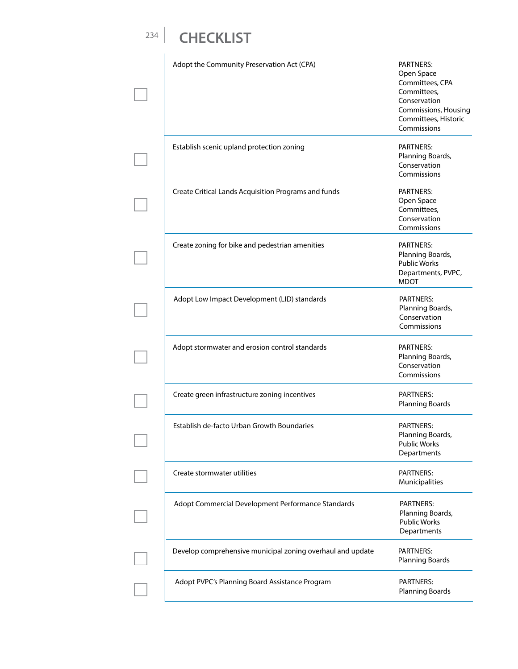| Adopt the Community Preservation Act (CPA)                 | <b>PARTNERS:</b><br>Open Space<br>Committees, CPA<br>Committees,<br>Conservation<br><b>Commissions, Housing</b><br>Committees, Historic<br>Commissions |
|------------------------------------------------------------|--------------------------------------------------------------------------------------------------------------------------------------------------------|
| Establish scenic upland protection zoning                  | <b>PARTNERS:</b><br>Planning Boards,<br>Conservation<br>Commissions                                                                                    |
| Create Critical Lands Acquisition Programs and funds       | <b>PARTNERS:</b><br>Open Space<br>Committees,<br>Conservation<br>Commissions                                                                           |
| Create zoning for bike and pedestrian amenities            | <b>PARTNERS:</b><br>Planning Boards,<br><b>Public Works</b><br>Departments, PVPC,<br><b>MDOT</b>                                                       |
| Adopt Low Impact Development (LID) standards               | <b>PARTNERS:</b><br>Planning Boards,<br>Conservation<br>Commissions                                                                                    |
| Adopt stormwater and erosion control standards             | <b>PARTNERS:</b><br>Planning Boards,<br>Conservation<br>Commissions                                                                                    |
| Create green infrastructure zoning incentives              | <b>PARTNERS:</b><br><b>Planning Boards</b>                                                                                                             |
| Establish de-facto Urban Growth Boundaries                 | <b>PARTNERS:</b><br>Planning Boards,<br><b>Public Works</b><br>Departments                                                                             |
| Create stormwater utilities                                | <b>PARTNERS:</b><br>Municipalities                                                                                                                     |
| Adopt Commercial Development Performance Standards         | PARTNERS:<br>Planning Boards,<br><b>Public Works</b><br>Departments                                                                                    |
| Develop comprehensive municipal zoning overhaul and update | PARTNERS:<br><b>Planning Boards</b>                                                                                                                    |
| Adopt PVPC's Planning Board Assistance Program             | <b>PARTNERS:</b><br>Planning Boards                                                                                                                    |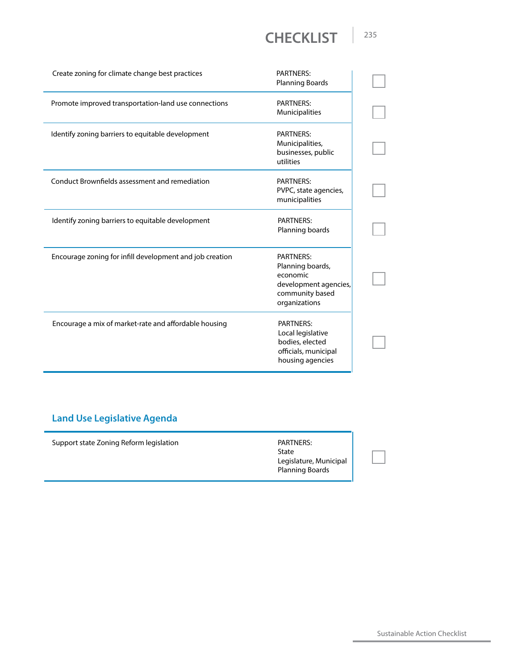| Create zoning for climate change best practices          | <b>PARTNERS:</b><br><b>Planning Boards</b>                                                                    |
|----------------------------------------------------------|---------------------------------------------------------------------------------------------------------------|
| Promote improved transportation-land use connections     | <b>PARTNERS:</b><br>Municipalities                                                                            |
| Identify zoning barriers to equitable development        | <b>PARTNERS:</b><br>Municipalities,<br>businesses, public<br>utilities                                        |
| Conduct Brownfields assessment and remediation           | <b>PARTNERS:</b><br>PVPC, state agencies,<br>municipalities                                                   |
| Identify zoning barriers to equitable development        | <b>PARTNERS:</b><br>Planning boards                                                                           |
| Encourage zoning for infill development and job creation | <b>PARTNERS:</b><br>Planning boards,<br>economic<br>development agencies,<br>community based<br>organizations |
| Encourage a mix of market-rate and affordable housing    | PARTNERS:<br>Local legislative<br>bodies, elected<br>officials, municipal<br>housing agencies                 |

#### **Land Use Legislative Agenda**

| PARTNERS:<br>State<br>Legislature, Municipal<br><b>Planning Boards</b> | Support state Zoning Reform legislation |
|------------------------------------------------------------------------|-----------------------------------------|
|------------------------------------------------------------------------|-----------------------------------------|

Sustainable Action Checklist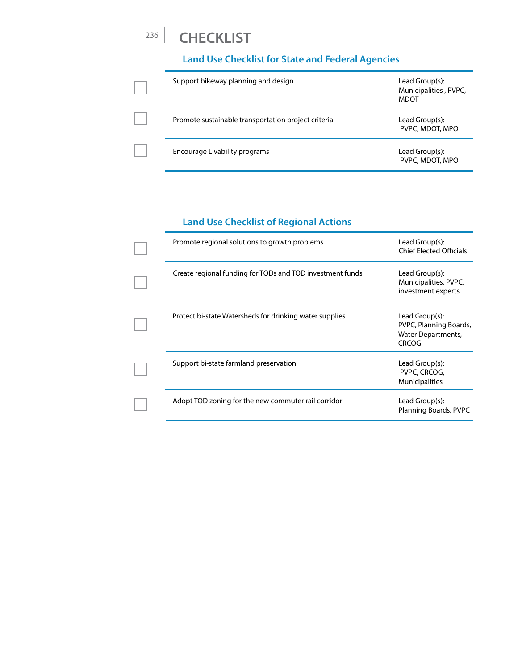# <sup>236</sup> **CHECKLIST**

#### **Land Use Checklist for State and Federal Agencies**

| Support bikeway planning and design                 | Lead Group(s):<br>Municipalities, PVPC,<br><b>MDOT</b> |
|-----------------------------------------------------|--------------------------------------------------------|
| Promote sustainable transportation project criteria | Lead Group(s):<br>PVPC, MDOT, MPO                      |
| Encourage Livability programs                       | Lead Group(s):<br>PVPC, MDOT, MPO                      |

#### **Land Use Checklist of Regional Actions**

| Promote regional solutions to growth problems             | Lead Group(s):<br><b>Chief Elected Officials</b>                                      |
|-----------------------------------------------------------|---------------------------------------------------------------------------------------|
| Create regional funding for TODs and TOD investment funds | Lead Group(s):<br>Municipalities, PVPC,<br>investment experts                         |
| Protect bi-state Watersheds for drinking water supplies   | Lead Group(s):<br>PVPC, Planning Boards,<br><b>Water Departments,</b><br><b>CRCOG</b> |
| Support bi-state farmland preservation                    | Lead Group(s):<br>PVPC, CRCOG,<br><b>Municipalities</b>                               |
| Adopt TOD zoning for the new commuter rail corridor       | Lead Group(s):<br>Planning Boards, PVPC                                               |